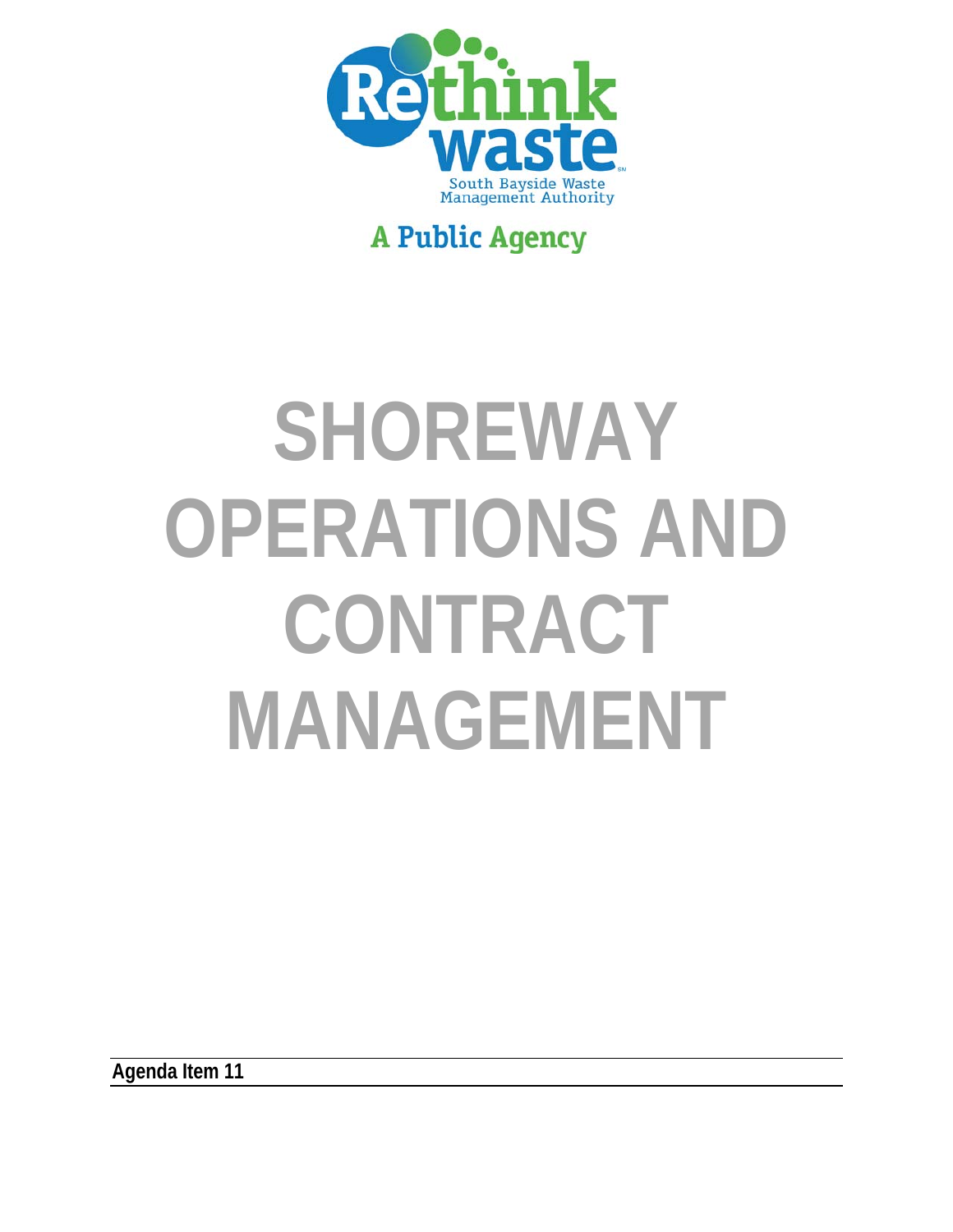

# **A Public Agency**

# **SHOREWAY OPERATIONS AND CONTRACT MANAGEMENT**

**Agenda Item 11**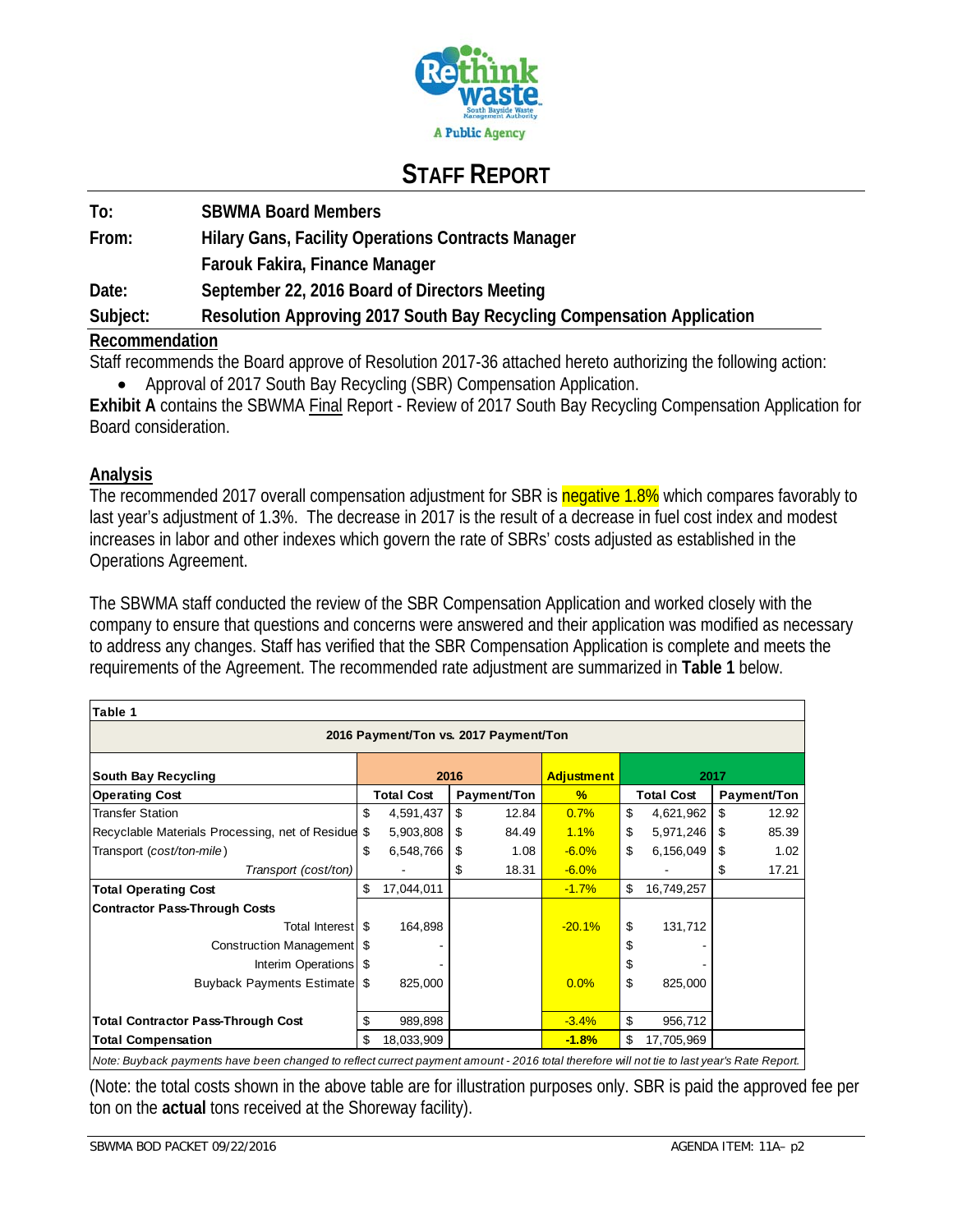

# **STAFF REPORT**

| To:            | <b>SBWMA Board Members</b>                                             |
|----------------|------------------------------------------------------------------------|
| From:          | <b>Hilary Gans, Facility Operations Contracts Manager</b>              |
|                | Farouk Fakira, Finance Manager                                         |
| Date:          | September 22, 2016 Board of Directors Meeting                          |
| Subject:       | Resolution Approving 2017 South Bay Recycling Compensation Application |
| Recommendation |                                                                        |

Staff recommends the Board approve of Resolution 2017-36 attached hereto authorizing the following action: Approval of 2017 South Bay Recycling (SBR) Compensation Application.

**Exhibit A** contains the SBWMA Final Report - Review of 2017 South Bay Recycling Compensation Application for Board consideration.

#### **Analysis**

The recommended 2017 overall compensation adjustment for SBR is negative 1.8% which compares favorably to last year's adjustment of 1.3%. The decrease in 2017 is the result of a decrease in fuel cost index and modest increases in labor and other indexes which govern the rate of SBRs' costs adjusted as established in the Operations Agreement.

The SBWMA staff conducted the review of the SBR Compensation Application and worked closely with the company to ensure that questions and concerns were answered and their application was modified as necessary to address any changes. Staff has verified that the SBR Compensation Application is complete and meets the requirements of the Agreement. The recommended rate adjustment are summarized in **Table 1** below.

| Table 1                                                                                                                        |      |                   |      |             |                   |      |                                                                                      |    |             |
|--------------------------------------------------------------------------------------------------------------------------------|------|-------------------|------|-------------|-------------------|------|--------------------------------------------------------------------------------------|----|-------------|
| 2016 Payment/Ton vs. 2017 Payment/Ton                                                                                          |      |                   |      |             |                   |      |                                                                                      |    |             |
| South Bay Recycling                                                                                                            |      |                   | 2016 |             | <b>Adjustment</b> | 2017 |                                                                                      |    |             |
| <b>Operating Cost</b>                                                                                                          |      | <b>Total Cost</b> |      | Payment/Ton | %                 |      | <b>Total Cost</b>                                                                    |    | Payment/Ton |
| <b>Transfer Station</b>                                                                                                        | \$   | 4,591,437         | \$   | 12.84       | 0.7%              | \$   | 4,621,962                                                                            | \$ | 12.92       |
| Recyclable Materials Processing, net of Residue                                                                                | S    | 5,903,808         | -\$  | 84.49       | 1.1%              | \$   | 5,971,246                                                                            | \$ | 85.39       |
| Transport (cost/ton-mile)                                                                                                      | \$   | 6,548,766         | -\$  | 1.08        | $-6.0%$           | \$   | 6,156,049                                                                            | \$ | 1.02        |
| Transport (cost/ton)                                                                                                           |      |                   | S    | 18.31       | $-6.0%$           |      |                                                                                      | \$ | 17.21       |
| <b>Total Operating Cost</b>                                                                                                    | \$   | 17,044,011        |      |             | $-1.7%$           | \$   | 16,749,257                                                                           |    |             |
| <b>Contractor Pass-Through Costs</b>                                                                                           |      |                   |      |             |                   |      |                                                                                      |    |             |
| Total Interest S                                                                                                               |      | 164,898           |      |             | $-20.1%$          | \$   | 131,712                                                                              |    |             |
| Construction Management  \$                                                                                                    |      |                   |      |             |                   | \$   |                                                                                      |    |             |
| Interim Operations                                                                                                             | - \$ |                   |      |             |                   | \$   |                                                                                      |    |             |
| <b>Buyback Payments Estimate</b>                                                                                               | - \$ | 825,000           |      |             | 0.0%              | \$   | 825,000                                                                              |    |             |
|                                                                                                                                |      |                   |      |             |                   |      |                                                                                      |    |             |
| <b>Total Contractor Pass-Through Cost</b>                                                                                      | \$   | 989,898           |      |             | $-3.4%$           | \$   | 956,712                                                                              |    |             |
| <b>Total Compensation</b>                                                                                                      | \$.  | 18,033,909        |      |             | $-1.8%$           | \$   | 17,705,969                                                                           |    |             |
| $\mathbf{M}$ and $\mathbf{B}$ and $\mathbf{L}$ and $\mathbf{L}$ are some such that is the set of $\mathbf{L}$ and $\mathbf{L}$ |      |                   |      |             | 0.0401:1111       |      | $\sim$ 10 $\sim$ - 1.1 $\sim$ 1.1 $\sim$ 1.1 $\sim$ 1.1 $\sim$ 1.1 $\sim$ 1.1 $\sim$ |    |             |

*Note: Buyback payments have been changed to reflect currect payment amount - 2016 total therefore will not tie to last year's Rate Report.*

(Note: the total costs shown in the above table are for illustration purposes only. SBR is paid the approved fee per ton on the **actual** tons received at the Shoreway facility).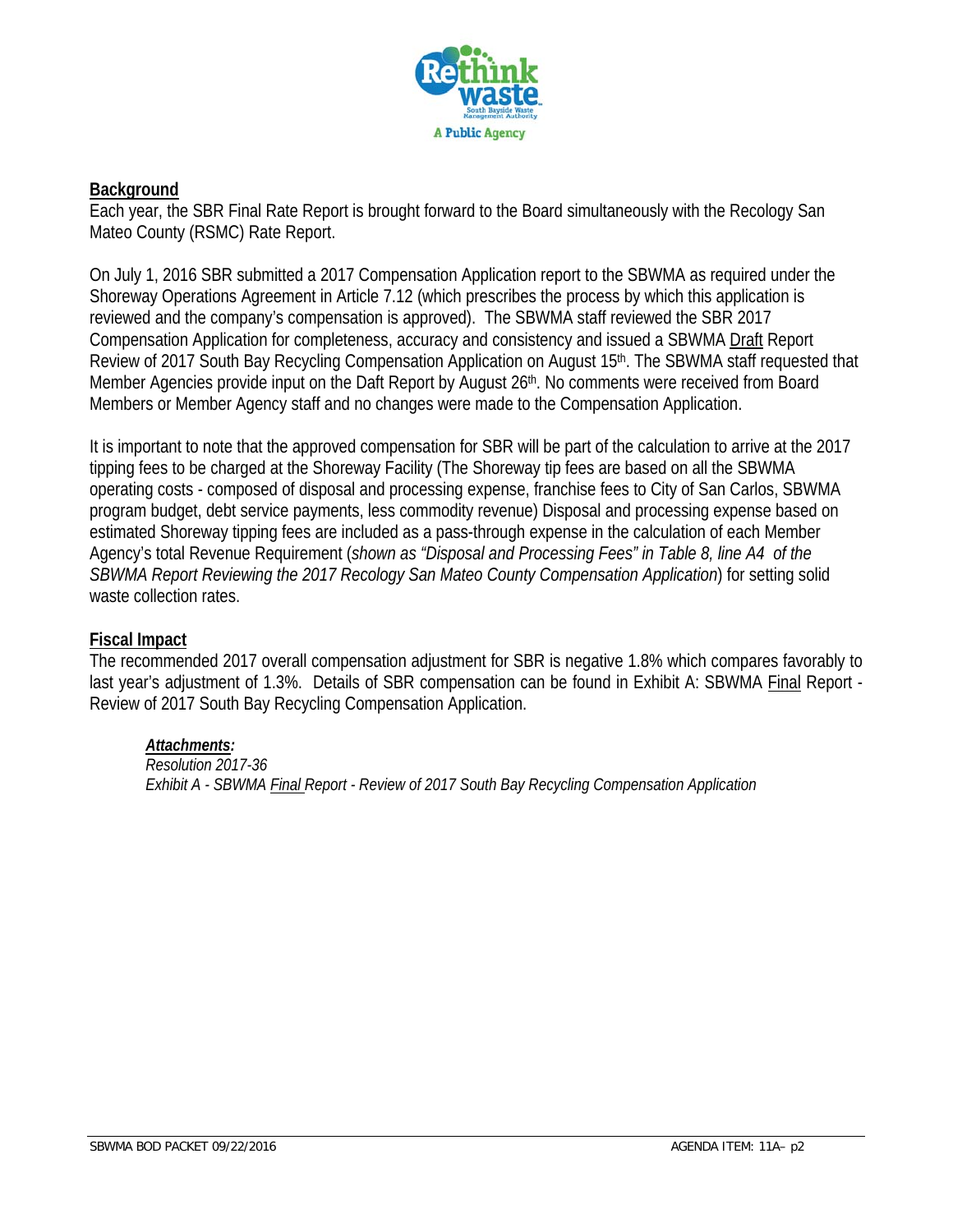

#### **Background**

Each year, the SBR Final Rate Report is brought forward to the Board simultaneously with the Recology San Mateo County (RSMC) Rate Report.

On July 1, 2016 SBR submitted a 2017 Compensation Application report to the SBWMA as required under the Shoreway Operations Agreement in Article 7.12 (which prescribes the process by which this application is reviewed and the company's compensation is approved). The SBWMA staff reviewed the SBR 2017 Compensation Application for completeness, accuracy and consistency and issued a SBWMA Draft Report Review of 2017 South Bay Recycling Compensation Application on August 15th. The SBWMA staff requested that Member Agencies provide input on the Daft Report by August 26<sup>th</sup>. No comments were received from Board Members or Member Agency staff and no changes were made to the Compensation Application.

It is important to note that the approved compensation for SBR will be part of the calculation to arrive at the 2017 tipping fees to be charged at the Shoreway Facility (The Shoreway tip fees are based on all the SBWMA operating costs - composed of disposal and processing expense, franchise fees to City of San Carlos, SBWMA program budget, debt service payments, less commodity revenue) Disposal and processing expense based on estimated Shoreway tipping fees are included as a pass-through expense in the calculation of each Member Agency's total Revenue Requirement (*shown as "Disposal and Processing Fees" in Table 8, line A4 of the SBWMA Report Reviewing the 2017 Recology San Mateo County Compensation Application*) for setting solid waste collection rates.

#### **Fiscal Impact**

The recommended 2017 overall compensation adjustment for SBR is negative 1.8% which compares favorably to last year's adjustment of 1.3%. Details of SBR compensation can be found in Exhibit A: SBWMA Final Report -Review of 2017 South Bay Recycling Compensation Application.

#### *Attachments:*

*Resolution 2017-36 Exhibit A - SBWMA Final Report - Review of 2017 South Bay Recycling Compensation Application*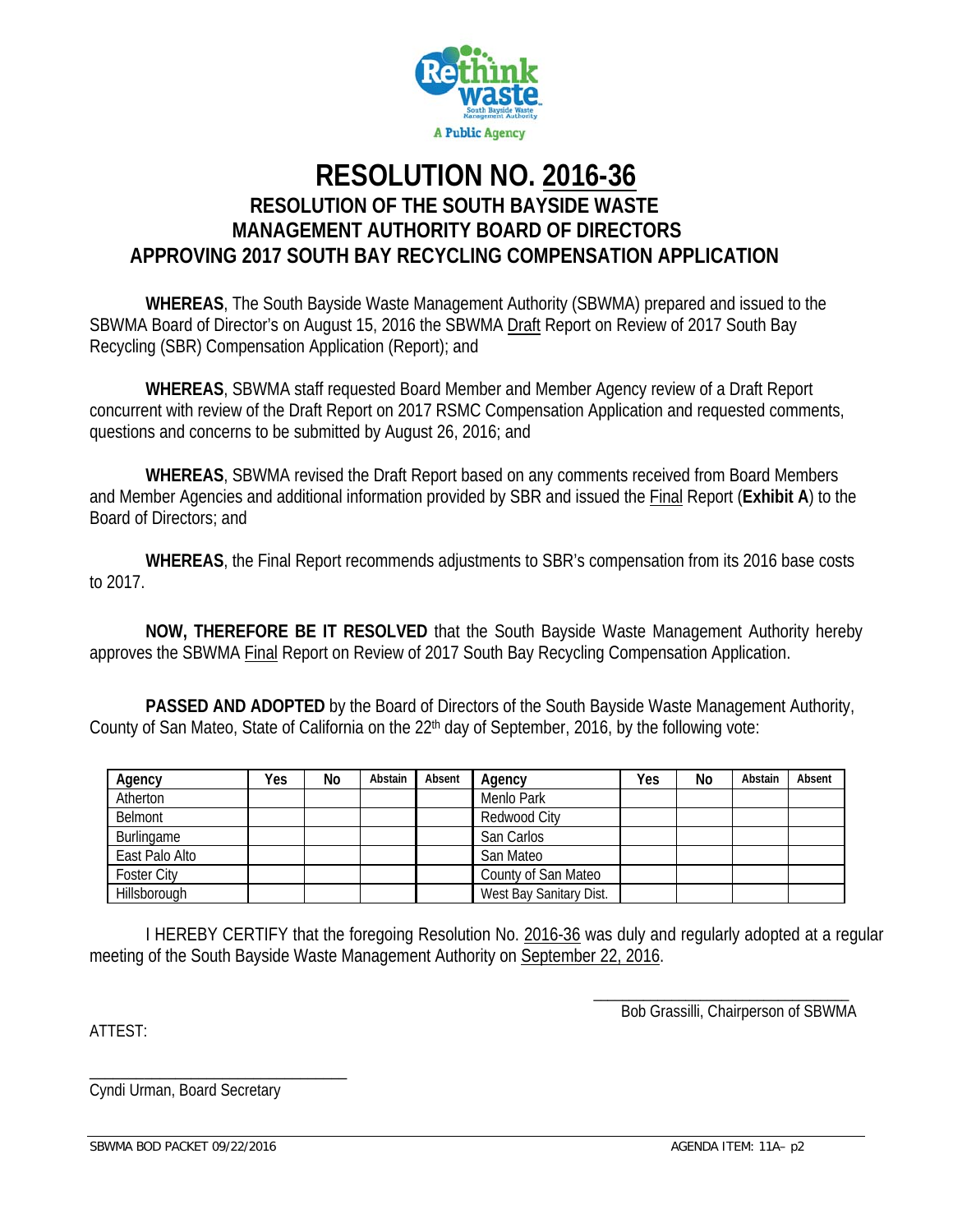

### **RESOLUTION NO. 2016-36 RESOLUTION OF THE SOUTH BAYSIDE WASTE MANAGEMENT AUTHORITY BOARD OF DIRECTORS APPROVING 2017 SOUTH BAY RECYCLING COMPENSATION APPLICATION**

**WHEREAS**, The South Bayside Waste Management Authority (SBWMA) prepared and issued to the SBWMA Board of Director's on August 15, 2016 the SBWMA Draft Report on Review of 2017 South Bay Recycling (SBR) Compensation Application (Report); and

**WHEREAS**, SBWMA staff requested Board Member and Member Agency review of a Draft Report concurrent with review of the Draft Report on 2017 RSMC Compensation Application and requested comments, questions and concerns to be submitted by August 26, 2016; and

**WHEREAS**, SBWMA revised the Draft Report based on any comments received from Board Members and Member Agencies and additional information provided by SBR and issued the Final Report (**Exhibit A**) to the Board of Directors; and

**WHEREAS**, the Final Report recommends adjustments to SBR's compensation from its 2016 base costs to 2017.

**NOW, THEREFORE BE IT RESOLVED** that the South Bayside Waste Management Authority hereby approves the SBWMA Final Report on Review of 2017 South Bay Recycling Compensation Application.

**PASSED AND ADOPTED** by the Board of Directors of the South Bayside Waste Management Authority, County of San Mateo, State of California on the 22<sup>th</sup> day of September, 2016, by the following vote:

| Agency             | Yes | No | Abstain | Absent | Agency                  | Yes | No | Abstain | Absent |
|--------------------|-----|----|---------|--------|-------------------------|-----|----|---------|--------|
| Atherton           |     |    |         |        | Menlo Park              |     |    |         |        |
| Belmont            |     |    |         |        | Redwood City            |     |    |         |        |
| Burlingame         |     |    |         |        | San Carlos              |     |    |         |        |
| East Palo Alto     |     |    |         |        | San Mateo               |     |    |         |        |
| <b>Foster City</b> |     |    |         |        | County of San Mateo     |     |    |         |        |
| Hillsborough       |     |    |         |        | West Bay Sanitary Dist. |     |    |         |        |

I HEREBY CERTIFY that the foregoing Resolution No. 2016-36 was duly and regularly adopted at a regular meeting of the South Bayside Waste Management Authority on September 22, 2016.

> \_\_\_\_\_\_\_\_\_\_\_\_\_\_\_\_\_\_\_\_\_\_\_\_\_\_\_\_\_\_\_\_\_\_\_\_ Bob Grassilli, Chairperson of SBWMA

ATTEST:

\_\_\_\_\_\_\_\_\_\_\_\_\_\_\_\_\_\_\_\_\_\_\_\_\_\_\_\_\_\_\_\_\_ Cyndi Urman, Board Secretary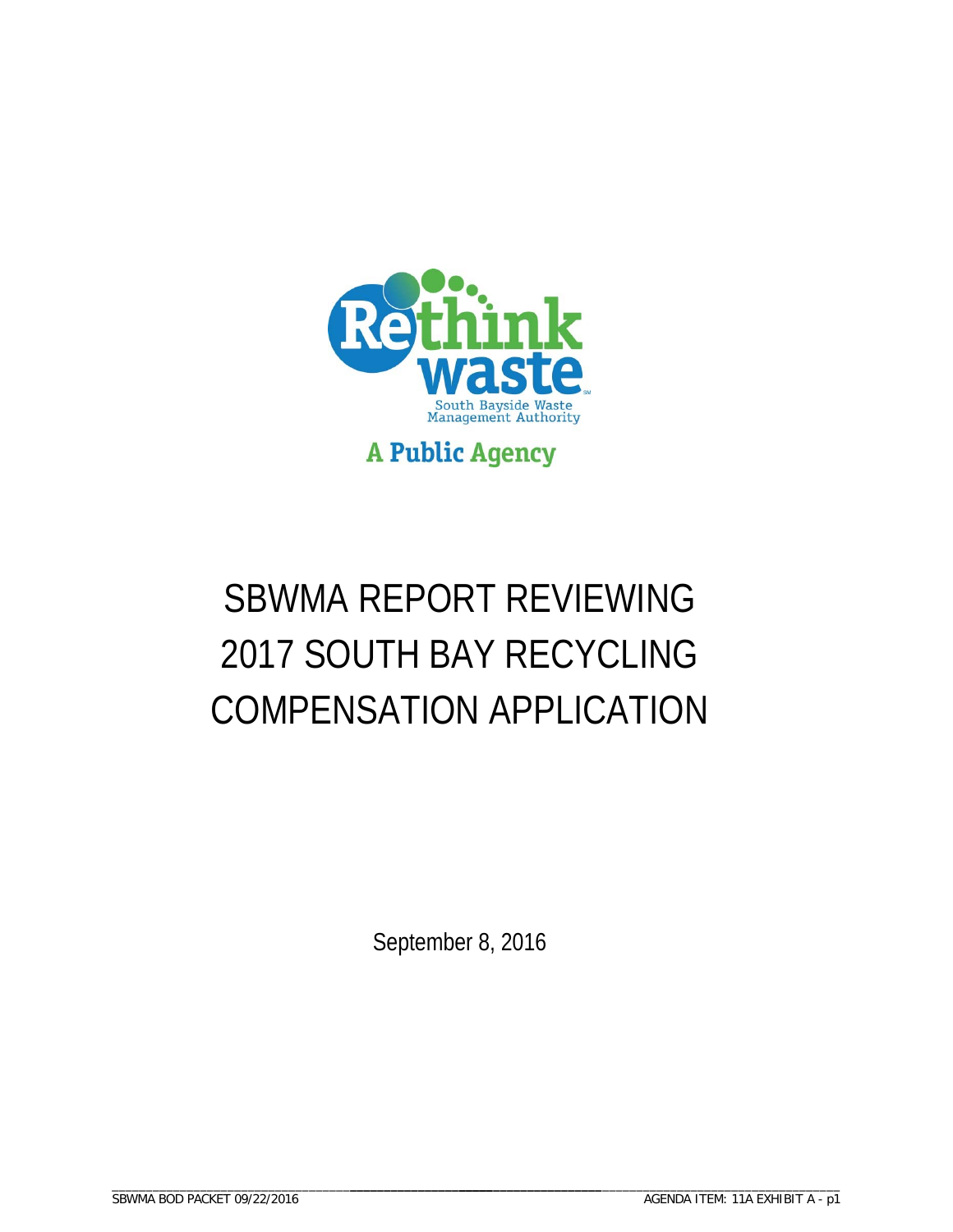

# SBWMA REPORT REVIEWING 2017 SOUTH BAY RECYCLING COMPENSATION APPLICATION

September 8, 2016

\_\_\_\_\_\_\_\_\_\_\_\_\_\_\_\_\_\_\_\_\_\_\_\_\_\_\_\_\_\_\_\_\_\_\_\_\_\_\_\_\_\_\_\_\_\_\_\_\_\_\_\_\_\_\_\_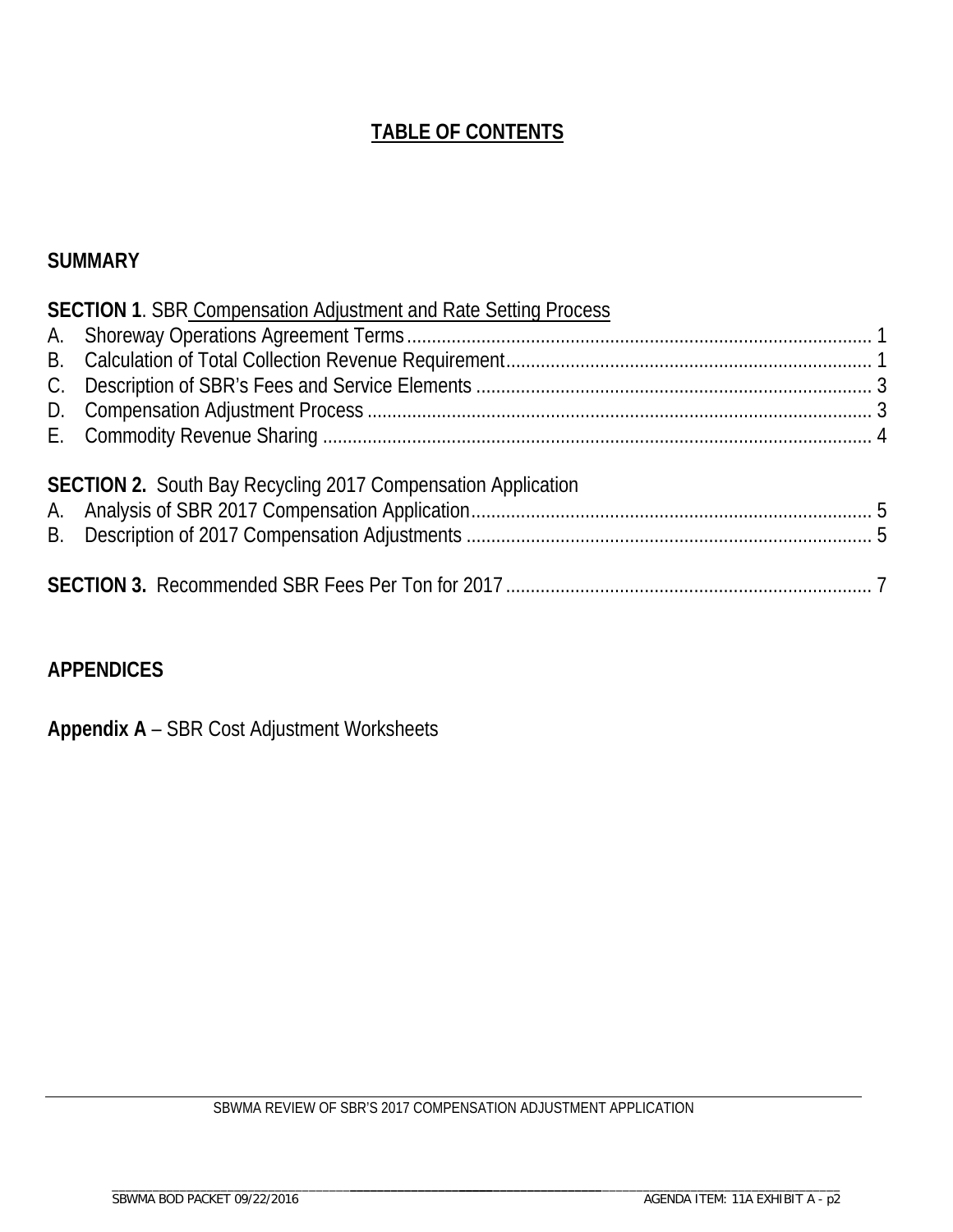# **TABLE OF CONTENTS**

#### **SUMMARY**

| <b>SECTION 1. SBR Compensation Adjustment and Rate Setting Process</b> |  |
|------------------------------------------------------------------------|--|
|                                                                        |  |
|                                                                        |  |
|                                                                        |  |
|                                                                        |  |
|                                                                        |  |
| <b>SECTION 2.</b> South Bay Recycling 2017 Compensation Application    |  |
|                                                                        |  |
|                                                                        |  |

#### **APPENDICES**

**Appendix A** – SBR Cost Adjustment Worksheets

SBWMA REVIEW OF SBR'S 2017 COMPENSATION ADJUSTMENT APPLICATION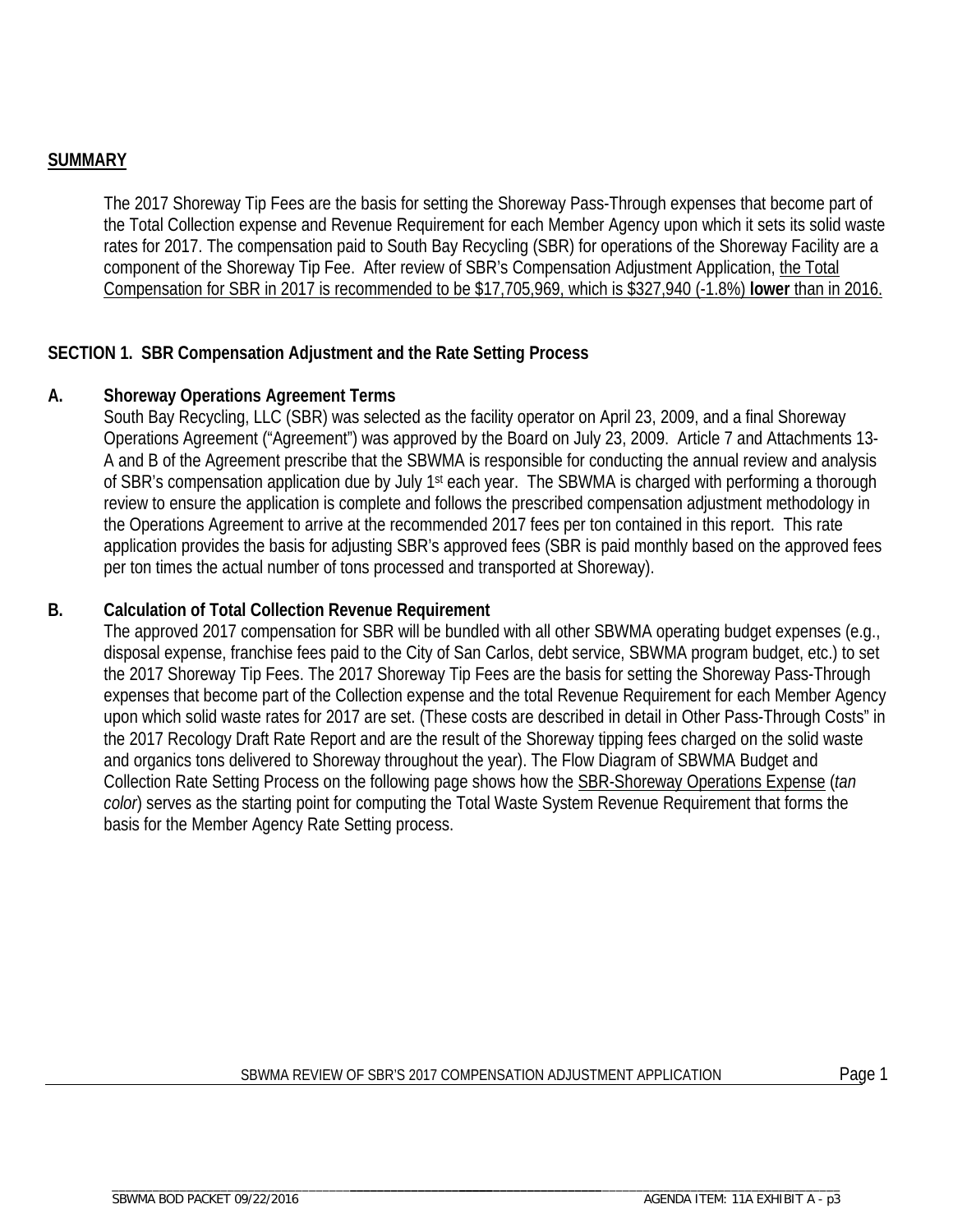#### **SUMMARY**

The 2017 Shoreway Tip Fees are the basis for setting the Shoreway Pass-Through expenses that become part of the Total Collection expense and Revenue Requirement for each Member Agency upon which it sets its solid waste rates for 2017. The compensation paid to South Bay Recycling (SBR) for operations of the Shoreway Facility are a component of the Shoreway Tip Fee. After review of SBR's Compensation Adjustment Application, the Total Compensation for SBR in 2017 is recommended to be \$17,705,969, which is \$327,940 (-1.8%) **lower** than in 2016.

#### **SECTION 1. SBR Compensation Adjustment and the Rate Setting Process**

#### **A. Shoreway Operations Agreement Terms**

South Bay Recycling, LLC (SBR) was selected as the facility operator on April 23, 2009, and a final Shoreway Operations Agreement ("Agreement") was approved by the Board on July 23, 2009. Article 7 and Attachments 13- A and B of the Agreement prescribe that the SBWMA is responsible for conducting the annual review and analysis of SBR's compensation application due by July 1st each year. The SBWMA is charged with performing a thorough review to ensure the application is complete and follows the prescribed compensation adjustment methodology in the Operations Agreement to arrive at the recommended 2017 fees per ton contained in this report. This rate application provides the basis for adjusting SBR's approved fees (SBR is paid monthly based on the approved fees per ton times the actual number of tons processed and transported at Shoreway).

#### **B. Calculation of Total Collection Revenue Requirement**

The approved 2017 compensation for SBR will be bundled with all other SBWMA operating budget expenses (e.g., disposal expense, franchise fees paid to the City of San Carlos, debt service, SBWMA program budget, etc.) to set the 2017 Shoreway Tip Fees. The 2017 Shoreway Tip Fees are the basis for setting the Shoreway Pass-Through expenses that become part of the Collection expense and the total Revenue Requirement for each Member Agency upon which solid waste rates for 2017 are set. (These costs are described in detail in Other Pass-Through Costs" in the 2017 Recology Draft Rate Report and are the result of the Shoreway tipping fees charged on the solid waste and organics tons delivered to Shoreway throughout the year). The Flow Diagram of SBWMA Budget and Collection Rate Setting Process on the following page shows how the SBR-Shoreway Operations Expense (*tan color*) serves as the starting point for computing the Total Waste System Revenue Requirement that forms the basis for the Member Agency Rate Setting process.

#### SBWMA REVIEW OF SBR'S 2017 COMPENSATION ADJUSTMENT APPLICATION Page 1

\_\_\_\_\_\_\_\_\_\_\_\_\_\_\_\_\_\_\_\_\_\_\_\_\_\_\_\_\_\_\_\_\_\_\_\_\_ \_\_\_\_\_\_\_\_\_\_\_\_\_\_\_\_\_\_\_\_\_\_\_\_\_\_\_\_\_\_\_\_\_\_\_\_\_\_\_\_\_\_\_\_\_\_\_\_\_\_\_\_\_\_\_\_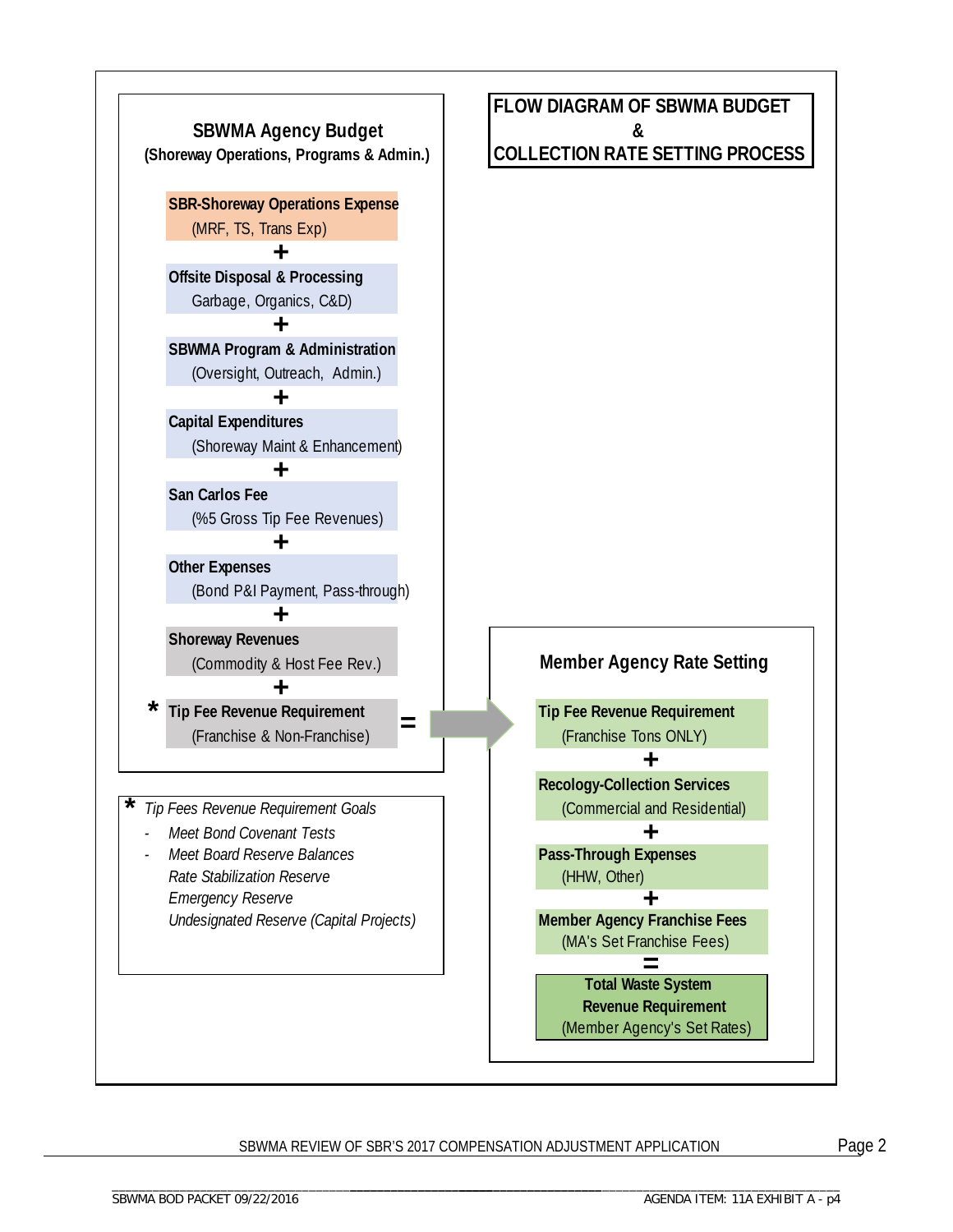

#### SBWMA REVIEW OF SBR'S 2017 COMPENSATION ADJUSTMENT APPLICATION Page 2

\_\_\_\_\_\_\_\_\_\_\_\_\_\_\_\_\_\_\_\_\_\_\_\_\_\_\_\_\_\_\_\_\_\_\_\_\_ \_\_\_\_\_\_\_\_\_\_\_\_\_\_\_\_\_\_\_\_\_\_\_\_\_\_\_\_\_\_\_\_\_\_\_\_\_\_\_\_\_\_\_\_\_\_\_\_\_\_\_\_\_\_\_\_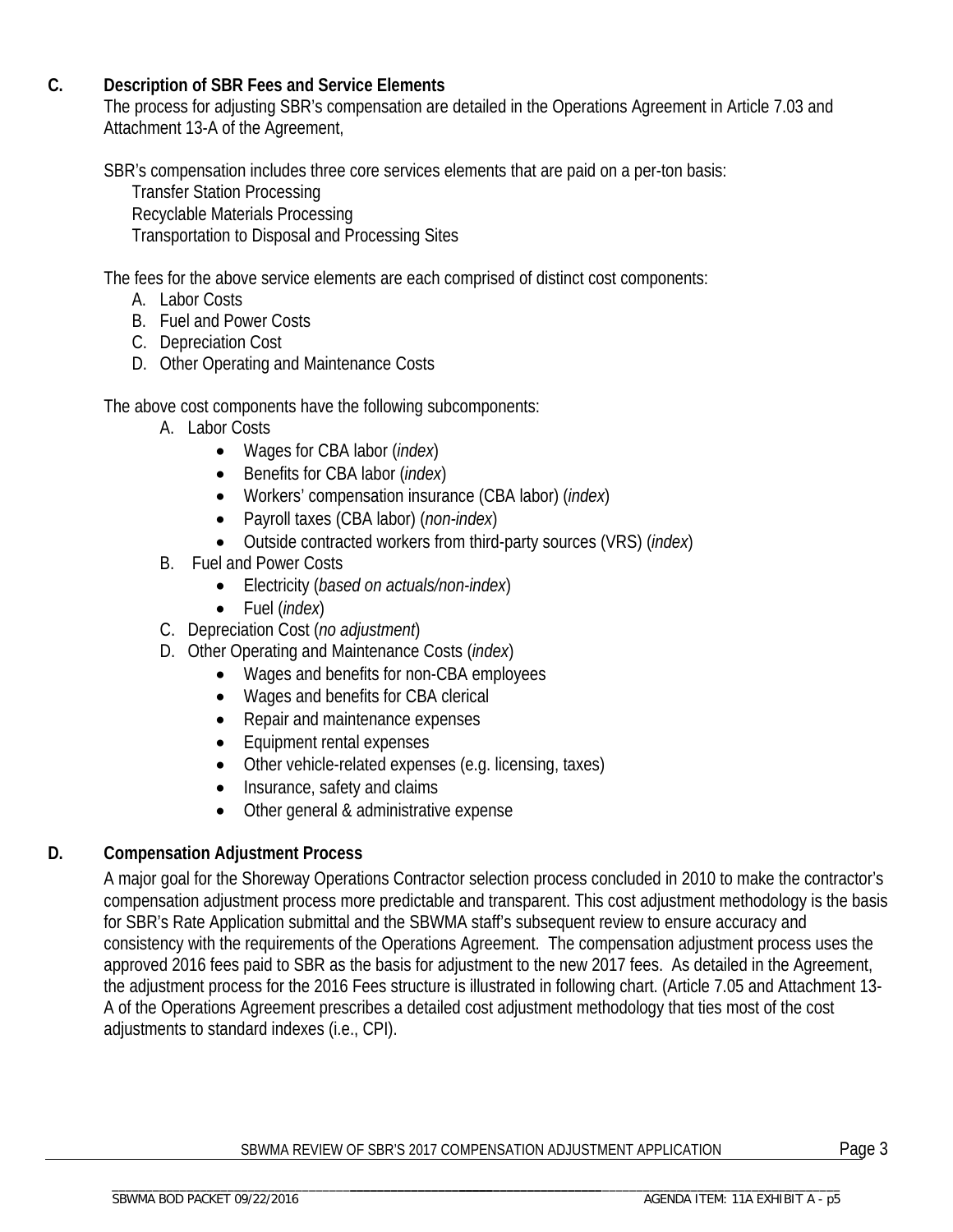#### **C. Description of SBR Fees and Service Elements**

The process for adjusting SBR's compensation are detailed in the Operations Agreement in Article 7.03 and Attachment 13-A of the Agreement,

SBR's compensation includes three core services elements that are paid on a per-ton basis:

Transfer Station Processing Recyclable Materials Processing Transportation to Disposal and Processing Sites

The fees for the above service elements are each comprised of distinct cost components:

- A. Labor Costs
- B. Fuel and Power Costs
- C. Depreciation Cost
- D. Other Operating and Maintenance Costs

The above cost components have the following subcomponents:

- A. Labor Costs
	- Wages for CBA labor (*index*)
	- Benefits for CBA labor (*index*)
	- Workers' compensation insurance (CBA labor) (*index*)
	- Payroll taxes (CBA labor) (*non-index*)
	- Outside contracted workers from third-party sources (VRS) (*index*)
- B. Fuel and Power Costs
	- Electricity (*based on actuals/non-index*)
	- Fuel (*index*)
- C. Depreciation Cost (*no adjustment*)
- D. Other Operating and Maintenance Costs (*index*)
	- Wages and benefits for non-CBA employees
	- Wages and benefits for CBA clerical
	- Repair and maintenance expenses
	- Equipment rental expenses
	- Other vehicle-related expenses (e.g. licensing, taxes)
	- Insurance, safety and claims
	- Other general & administrative expense

#### **D. Compensation Adjustment Process**

A major goal for the Shoreway Operations Contractor selection process concluded in 2010 to make the contractor's compensation adjustment process more predictable and transparent. This cost adjustment methodology is the basis for SBR's Rate Application submittal and the SBWMA staff's subsequent review to ensure accuracy and consistency with the requirements of the Operations Agreement. The compensation adjustment process uses the approved 2016 fees paid to SBR as the basis for adjustment to the new 2017 fees. As detailed in the Agreement, the adjustment process for the 2016 Fees structure is illustrated in following chart. (Article 7.05 and Attachment 13- A of the Operations Agreement prescribes a detailed cost adjustment methodology that ties most of the cost adjustments to standard indexes (i.e., CPI).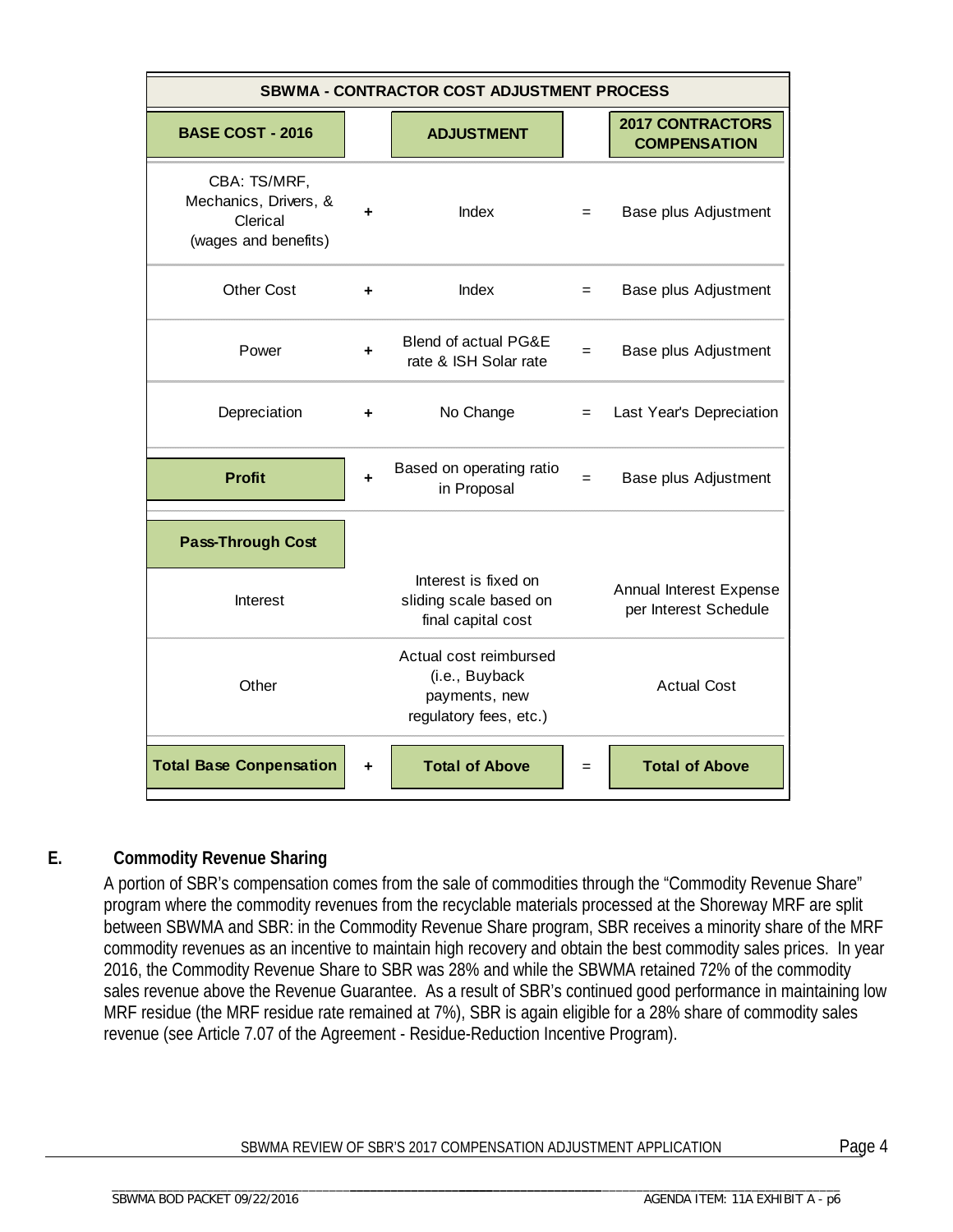| <b>SBWMA - CONTRACTOR COST ADJUSTMENT PROCESS</b>                         |   |                                                                                     |     |                                                  |  |  |  |  |
|---------------------------------------------------------------------------|---|-------------------------------------------------------------------------------------|-----|--------------------------------------------------|--|--|--|--|
| <b>BASE COST - 2016</b>                                                   |   | <b>ADJUSTMENT</b>                                                                   |     | <b>2017 CONTRACTORS</b><br><b>COMPENSATION</b>   |  |  |  |  |
| CBA: TS/MRF,<br>Mechanics, Drivers, &<br>Clerical<br>(wages and benefits) |   | <b>Index</b>                                                                        | $=$ | Base plus Adjustment                             |  |  |  |  |
| <b>Other Cost</b>                                                         |   | Index                                                                               | $=$ | Base plus Adjustment                             |  |  |  |  |
| Power                                                                     |   | Blend of actual PG&E<br>rate & ISH Solar rate                                       | $=$ | Base plus Adjustment                             |  |  |  |  |
| Depreciation                                                              |   | No Change                                                                           |     | Last Year's Depreciation                         |  |  |  |  |
| <b>Profit</b>                                                             |   | Based on operating ratio<br>in Proposal                                             | $=$ | Base plus Adjustment                             |  |  |  |  |
| <b>Pass-Through Cost</b>                                                  |   |                                                                                     |     |                                                  |  |  |  |  |
| Interest                                                                  |   | Interest is fixed on<br>sliding scale based on<br>final capital cost                |     | Annual Interest Expense<br>per Interest Schedule |  |  |  |  |
| Other                                                                     |   | Actual cost reimbursed<br>(i.e., Buyback<br>payments, new<br>regulatory fees, etc.) |     | <b>Actual Cost</b>                               |  |  |  |  |
| <b>Total Base Conpensation</b>                                            | ÷ | <b>Total of Above</b>                                                               | $=$ | <b>Total of Above</b>                            |  |  |  |  |

#### **E. Commodity Revenue Sharing**

A portion of SBR's compensation comes from the sale of commodities through the "Commodity Revenue Share" program where the commodity revenues from the recyclable materials processed at the Shoreway MRF are split between SBWMA and SBR: in the Commodity Revenue Share program, SBR receives a minority share of the MRF commodity revenues as an incentive to maintain high recovery and obtain the best commodity sales prices. In year 2016, the Commodity Revenue Share to SBR was 28% and while the SBWMA retained 72% of the commodity sales revenue above the Revenue Guarantee. As a result of SBR's continued good performance in maintaining low MRF residue (the MRF residue rate remained at 7%), SBR is again eligible for a 28% share of commodity sales revenue (see Article 7.07 of the Agreement - Residue-Reduction Incentive Program).

#### SBWMA REVIEW OF SBR'S 2017 COMPENSATION ADJUSTMENT APPLICATION Page 4

\_\_\_\_\_\_\_\_\_\_\_\_\_\_\_\_\_\_\_\_\_\_\_\_\_\_\_\_\_\_\_\_\_\_\_\_\_ \_\_\_\_\_\_\_\_\_\_\_\_\_\_\_\_\_\_\_\_\_\_\_\_\_\_\_\_\_\_\_\_\_\_\_\_\_\_\_\_\_\_\_\_\_\_\_\_\_\_\_\_\_\_\_\_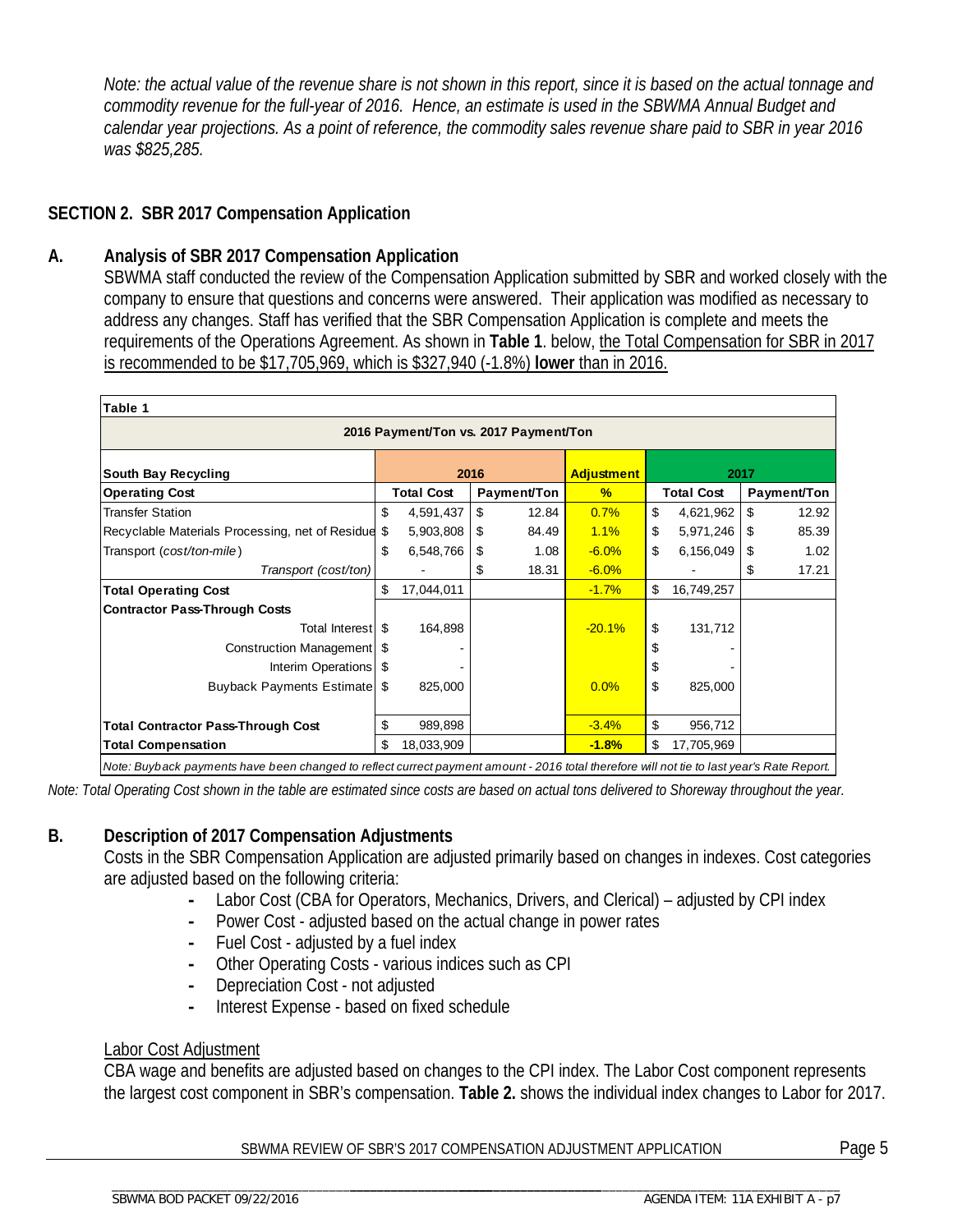*Note: the actual value of the revenue share is not shown in this report, since it is based on the actual tonnage and commodity revenue for the full-year of 2016. Hence, an estimate is used in the SBWMA Annual Budget and calendar year projections. As a point of reference, the commodity sales revenue share paid to SBR in year 2016 was \$825,285.* 

#### **SECTION 2. SBR 2017 Compensation Application**

#### **A. Analysis of SBR 2017 Compensation Application**

SBWMA staff conducted the review of the Compensation Application submitted by SBR and worked closely with the company to ensure that questions and concerns were answered. Their application was modified as necessary to address any changes. Staff has verified that the SBR Compensation Application is complete and meets the requirements of the Operations Agreement. As shown in **Table 1**. below, the Total Compensation for SBR in 2017 is recommended to be \$17,705,969, which is \$327,940 (-1.8%) **lower** than in 2016.

| Table 1                                         |     |                   |    |                   |          |    |                   |    |             |
|-------------------------------------------------|-----|-------------------|----|-------------------|----------|----|-------------------|----|-------------|
| 2016 Payment/Ton vs. 2017 Payment/Ton           |     |                   |    |                   |          |    |                   |    |             |
| <b>South Bay Recycling</b>                      |     | 2016              |    | <b>Adjustment</b> |          |    | 2017              |    |             |
| <b>Operating Cost</b>                           |     | <b>Total Cost</b> |    | Payment/Ton       | %        |    | <b>Total Cost</b> |    | Payment/Ton |
| <b>Transfer Station</b>                         | \$  | 4,591,437         | \$ | 12.84             | 0.7%     | \$ | 4,621,962         | \$ | 12.92       |
| Recyclable Materials Processing, net of Residue | \$  | 5,903,808         | S  | 84.49             | 1.1%     | \$ | 5,971,246         | \$ | 85.39       |
| Transport (cost/ton-mile)                       | \$  | 6,548,766         | S  | 1.08              | $-6.0%$  | \$ | 6,156,049         | \$ | 1.02        |
| Transport (cost/ton)                            |     |                   | S  | 18.31             | $-6.0%$  |    |                   | \$ | 17.21       |
| <b>Total Operating Cost</b>                     | \$  | 17,044,011        |    |                   | $-1.7%$  | \$ | 16,749,257        |    |             |
| <b>Contractor Pass-Through Costs</b>            |     |                   |    |                   |          |    |                   |    |             |
| Total Interest S                                |     | 164,898           |    |                   | $-20.1%$ | \$ | 131,712           |    |             |
| Construction Management   \$                    |     |                   |    |                   |          | \$ |                   |    |             |
| Interim Operations   \$                         |     |                   |    |                   |          | \$ |                   |    |             |
| Buyback Payments Estimate \$                    |     | 825,000           |    |                   | 0.0%     | \$ | 825,000           |    |             |
|                                                 |     |                   |    |                   |          |    |                   |    |             |
| <b>Total Contractor Pass-Through Cost</b>       | \$  | 989,898           |    |                   | $-3.4%$  | \$ | 956,712           |    |             |
| <b>Total Compensation</b>                       | \$. | 18,033,909        |    |                   | $-1.8%$  | \$ | 17,705,969        |    |             |

*Note: Buyback payments have been changed to reflect currect payment amount - 2016 total therefore will not tie to last year's Rate Report.*

*Note: Total Operating Cost shown in the table are estimated since costs are based on actual tons delivered to Shoreway throughout the year.*

#### **B. Description of 2017 Compensation Adjustments**

Costs in the SBR Compensation Application are adjusted primarily based on changes in indexes. Cost categories are adjusted based on the following criteria:

- Labor Cost (CBA for Operators, Mechanics, Drivers, and Clerical) adjusted by CPI index
- Power Cost adjusted based on the actual change in power rates
- Fuel Cost adjusted by a fuel index
- Other Operating Costs various indices such as CPI
- Depreciation Cost not adjusted

\_\_\_\_\_\_\_\_\_\_\_\_\_\_\_\_\_\_\_\_\_\_\_\_\_\_\_\_\_\_\_\_\_\_\_\_\_\_\_\_\_\_\_\_\_\_\_\_\_\_\_\_\_\_\_\_

**-** Interest Expense - based on fixed schedule

#### Labor Cost Adjustment

CBA wage and benefits are adjusted based on changes to the CPI index. The Labor Cost component represents the largest cost component in SBR's compensation. **Table 2.** shows the individual index changes to Labor for 2017.

SBWMA REVIEW OF SBR'S 2017 COMPENSATION ADJUSTMENT APPLICATION Page 5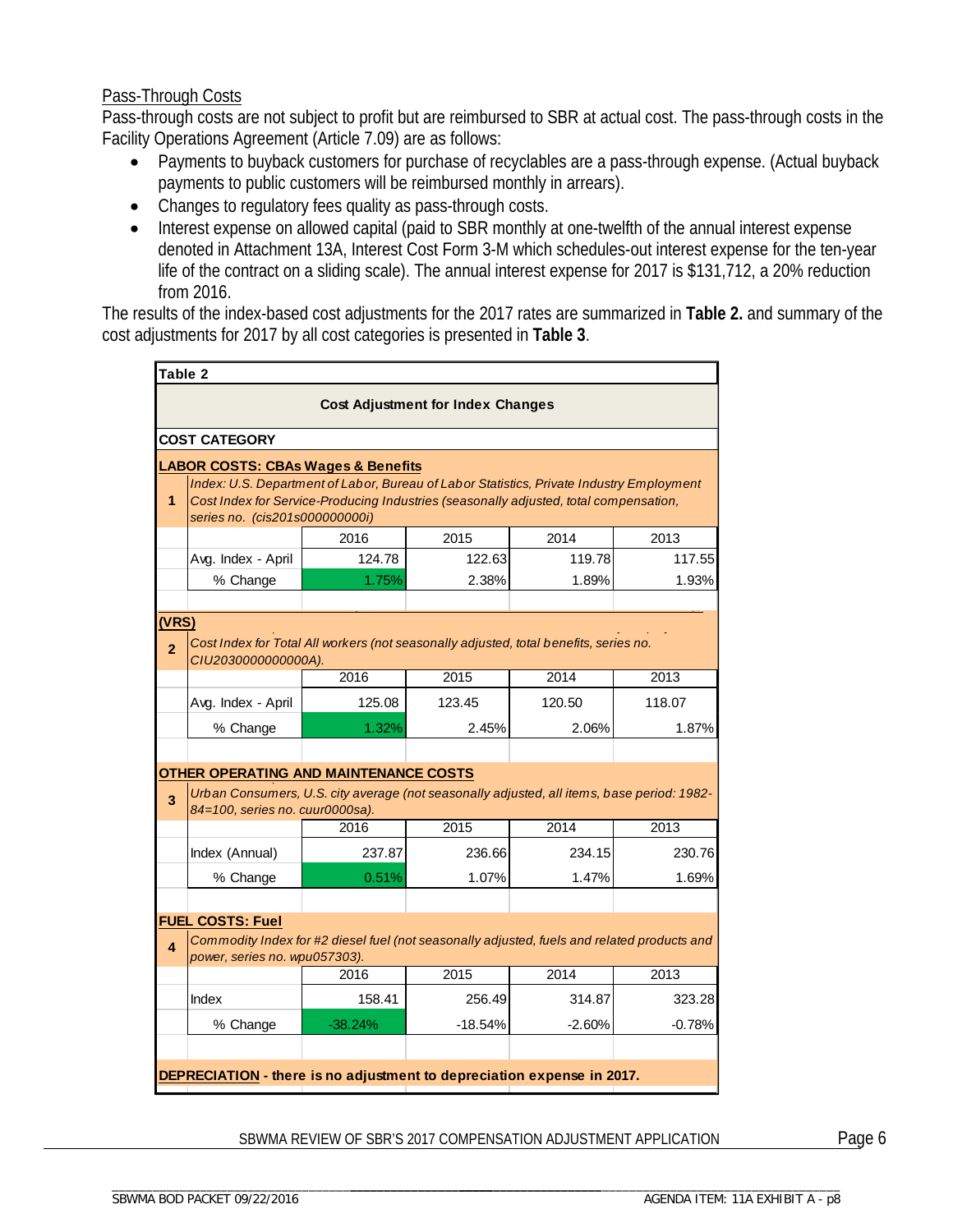#### Pass-Through Costs

Pass-through costs are not subject to profit but are reimbursed to SBR at actual cost. The pass-through costs in the Facility Operations Agreement (Article 7.09) are as follows:

- Payments to buyback customers for purchase of recyclables are a pass-through expense. (Actual buyback payments to public customers will be reimbursed monthly in arrears).
- Changes to regulatory fees quality as pass-through costs.
- Interest expense on allowed capital (paid to SBR monthly at one-twelfth of the annual interest expense denoted in Attachment 13A, Interest Cost Form 3-M which schedules-out interest expense for the ten-year life of the contract on a sliding scale). The annual interest expense for 2017 is \$131,712, a 20% reduction from 2016.

The results of the index-based cost adjustments for the 2017 rates are summarized in **Table 2.** and summary of the cost adjustments for 2017 by all cost categories is presented in **Table 3**.

| Table 2                                       |                                                                                                                              |           |           |          |          |  |  |  |  |
|-----------------------------------------------|------------------------------------------------------------------------------------------------------------------------------|-----------|-----------|----------|----------|--|--|--|--|
| <b>Cost Adjustment for Index Changes</b>      |                                                                                                                              |           |           |          |          |  |  |  |  |
|                                               | <b>COST CATEGORY</b>                                                                                                         |           |           |          |          |  |  |  |  |
| <b>LABOR COSTS: CBAs Wages &amp; Benefits</b> |                                                                                                                              |           |           |          |          |  |  |  |  |
|                                               | Index: U.S. Department of Labor, Bureau of Labor Statistics, Private Industry Employment                                     |           |           |          |          |  |  |  |  |
| 1                                             | Cost Index for Service-Producing Industries (seasonally adjusted, total compensation,<br>series no. (cis201s000000000i)      |           |           |          |          |  |  |  |  |
|                                               |                                                                                                                              | 2016      | 2015      | 2014     | 2013     |  |  |  |  |
|                                               | Avg. Index - April                                                                                                           | 124.78    | 122.63    | 119.78   | 117.55   |  |  |  |  |
|                                               | % Change                                                                                                                     | 1.75%     | 2.38%     | 1.89%    | 1.93%    |  |  |  |  |
|                                               |                                                                                                                              |           |           |          |          |  |  |  |  |
| (VRS)                                         | Cost Index for Total All workers (not seasonally adjusted, total benefits, series no.                                        |           |           |          |          |  |  |  |  |
| $\overline{2}$                                | CIU2030000000000A).                                                                                                          |           |           |          |          |  |  |  |  |
|                                               |                                                                                                                              | 2016      | 2015      | 2014     | 2013     |  |  |  |  |
|                                               | Avg. Index - April                                                                                                           | 125.08    | 123.45    | 120.50   | 118.07   |  |  |  |  |
|                                               | % Change                                                                                                                     | 1.32%     | 2.45%     | 2.06%    | 1.87%    |  |  |  |  |
|                                               |                                                                                                                              |           |           |          |          |  |  |  |  |
|                                               | OTHER OPERATING AND MAINTENANCE COSTS                                                                                        |           |           |          |          |  |  |  |  |
| $\overline{3}$                                | Urban Consumers, U.S. city average (not seasonally adjusted, all items, base period: 1982-                                   |           |           |          |          |  |  |  |  |
|                                               | 84=100, series no. cuur0000sa).                                                                                              | 2016      | 2015      | 2014     | 2013     |  |  |  |  |
|                                               | Index (Annual)                                                                                                               | 237.87    | 236.66    | 234.15   | 230.76   |  |  |  |  |
|                                               | % Change                                                                                                                     | 0.51%     | 1.07%     | 1.47%    | 1.69%    |  |  |  |  |
|                                               |                                                                                                                              |           |           |          |          |  |  |  |  |
|                                               | <b>FUEL COSTS: Fuel</b>                                                                                                      |           |           |          |          |  |  |  |  |
| 4                                             | Commodity Index for #2 diesel fuel (not seasonally adjusted, fuels and related products and<br>power, series no. wpu057303). |           |           |          |          |  |  |  |  |
|                                               |                                                                                                                              | 2016      | 2015      | 2014     | 2013     |  |  |  |  |
|                                               | Index                                                                                                                        | 158.41    | 256.49    | 314.87   | 323.28   |  |  |  |  |
|                                               | % Change                                                                                                                     | $-38.24%$ | $-18.54%$ | $-2.60%$ | $-0.78%$ |  |  |  |  |
|                                               |                                                                                                                              |           |           |          |          |  |  |  |  |
|                                               | DEPRECIATION - there is no adjustment to depreciation expense in 2017.                                                       |           |           |          |          |  |  |  |  |
|                                               |                                                                                                                              |           |           |          |          |  |  |  |  |

SBWMA REVIEW OF SBR'S 2017 COMPENSATION ADJUSTMENT APPLICATION **Page 6** 

\_\_\_\_\_\_\_\_\_\_\_\_\_\_\_\_\_\_\_\_\_\_\_\_\_\_\_\_\_\_\_\_\_\_\_\_\_ \_\_\_\_\_\_\_\_\_\_\_\_\_\_\_\_\_\_\_\_\_\_\_\_\_\_\_\_\_\_\_\_\_\_\_\_\_\_\_\_\_\_\_\_\_\_\_\_\_\_\_\_\_\_\_\_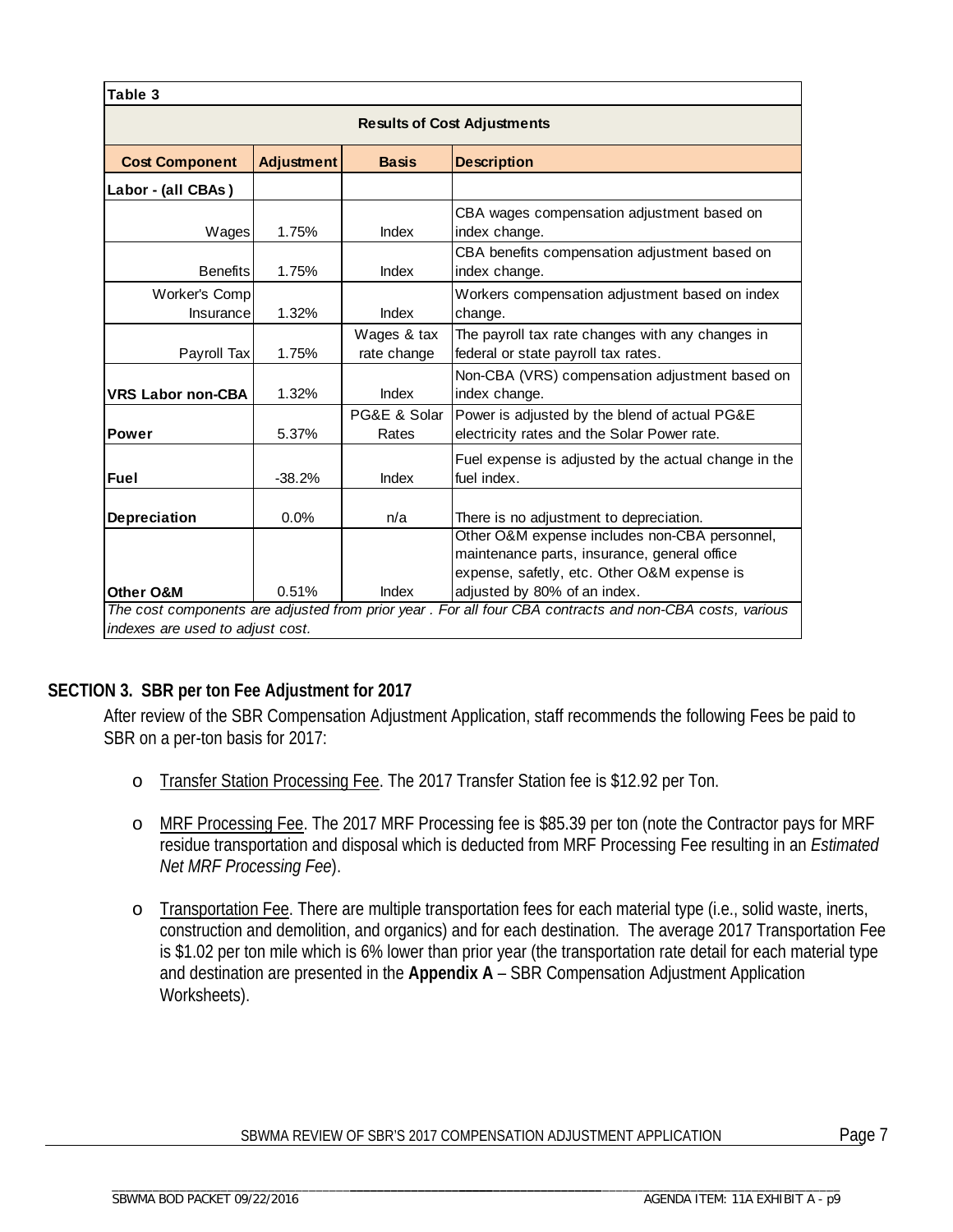| Table 3                            |                   |                                    |                                                                                                                                                                              |  |  |  |  |  |  |
|------------------------------------|-------------------|------------------------------------|------------------------------------------------------------------------------------------------------------------------------------------------------------------------------|--|--|--|--|--|--|
| <b>Results of Cost Adjustments</b> |                   |                                    |                                                                                                                                                                              |  |  |  |  |  |  |
| <b>Cost Component</b>              | <b>Adjustment</b> | <b>Basis</b><br><b>Description</b> |                                                                                                                                                                              |  |  |  |  |  |  |
| Labor - (all CBAs)                 |                   |                                    |                                                                                                                                                                              |  |  |  |  |  |  |
| Wages                              | 1.75%             | Index                              | CBA wages compensation adjustment based on<br>index change.                                                                                                                  |  |  |  |  |  |  |
| <b>Benefits</b>                    | 1.75%             | Index                              | CBA benefits compensation adjustment based on<br>index change.                                                                                                               |  |  |  |  |  |  |
| Worker's Comp<br>Insurance         | 1.32%             | Index                              | Workers compensation adjustment based on index<br>change.                                                                                                                    |  |  |  |  |  |  |
| Payroll Tax                        | 1.75%             | Wages & tax<br>rate change         | The payroll tax rate changes with any changes in<br>federal or state payroll tax rates.                                                                                      |  |  |  |  |  |  |
| <b>VRS Labor non-CBA</b>           | 1.32%             | Index                              | Non-CBA (VRS) compensation adjustment based on<br>index change.                                                                                                              |  |  |  |  |  |  |
| <b>Power</b>                       | 5.37%             | PG&E & Solar<br>Rates              | Power is adjusted by the blend of actual PG&E<br>electricity rates and the Solar Power rate.                                                                                 |  |  |  |  |  |  |
| Fuel                               | $-38.2%$          | Index                              | Fuel expense is adjusted by the actual change in the<br>fuel index.                                                                                                          |  |  |  |  |  |  |
| Depreciation                       | 0.0%              | n/a                                | There is no adjustment to depreciation.                                                                                                                                      |  |  |  |  |  |  |
| <b>Other O&amp;M</b>               | 0.51%             | Index                              | Other O&M expense includes non-CBA personnel,<br>maintenance parts, insurance, general office<br>expense, safetly, etc. Other O&M expense is<br>adjusted by 80% of an index. |  |  |  |  |  |  |
|                                    |                   |                                    | The cost components are adjusted from prior year . For all four CBA contracts and non-CBA costs, various                                                                     |  |  |  |  |  |  |
| indexes are used to adiust cost.   |                   |                                    |                                                                                                                                                                              |  |  |  |  |  |  |

#### **SECTION 3. SBR per ton Fee Adjustment for 2017**

After review of the SBR Compensation Adjustment Application, staff recommends the following Fees be paid to SBR on a per-ton basis for 2017:

- o Transfer Station Processing Fee. The 2017 Transfer Station fee is \$12.92 per Ton.
- o MRF Processing Fee. The 2017 MRF Processing fee is \$85.39 per ton (note the Contractor pays for MRF residue transportation and disposal which is deducted from MRF Processing Fee resulting in an *Estimated Net MRF Processing Fee*).
- o Transportation Fee. There are multiple transportation fees for each material type (i.e., solid waste, inerts, construction and demolition, and organics) and for each destination. The average 2017 Transportation Fee is \$1.02 per ton mile which is 6% lower than prior year (the transportation rate detail for each material type and destination are presented in the **Appendix A** – SBR Compensation Adjustment Application Worksheets).

#### SBWMA REVIEW OF SBR'S 2017 COMPENSATION ADJUSTMENT APPLICATION Page 7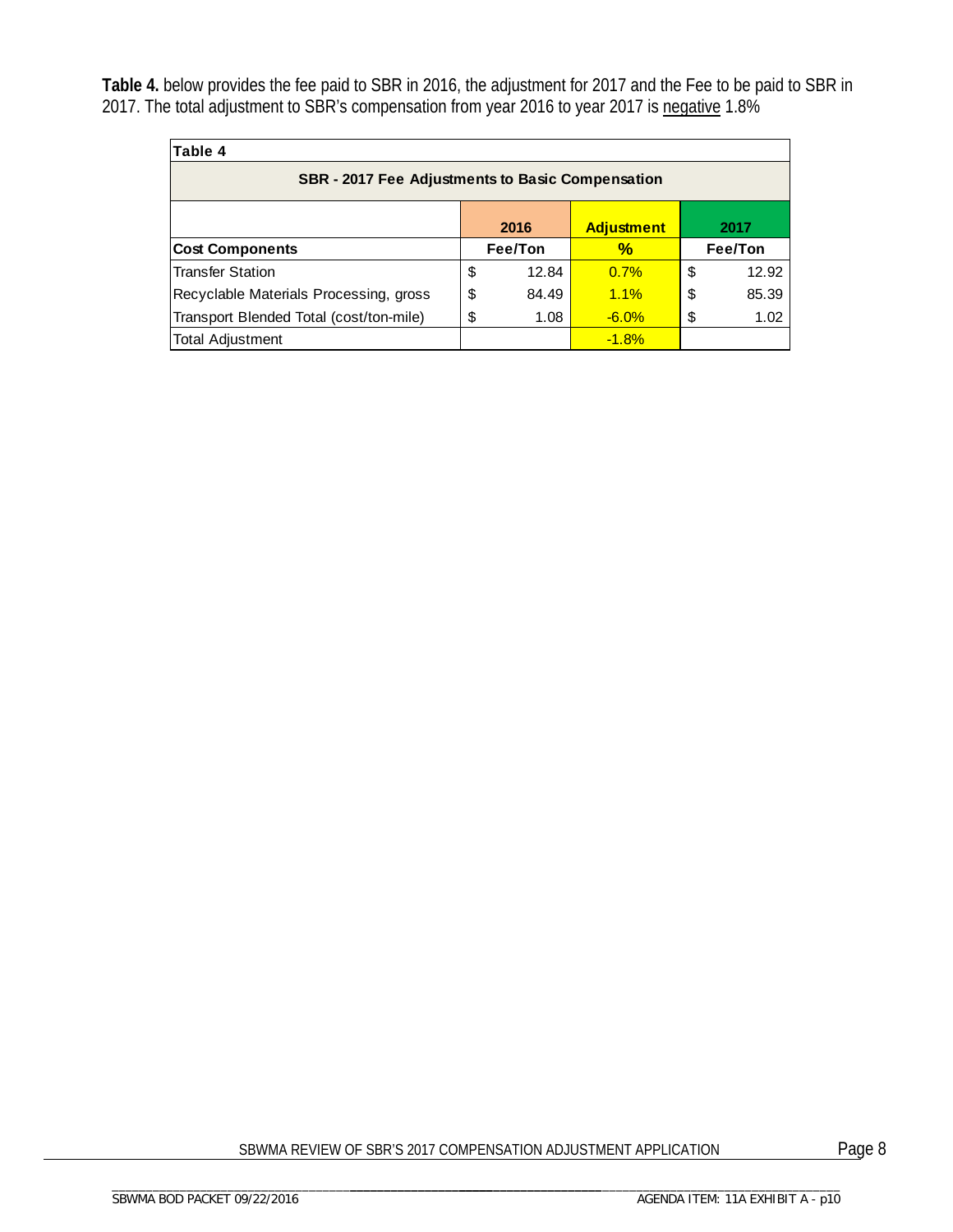**Table 4.** below provides the fee paid to SBR in 2016, the adjustment for 2017 and the Fee to be paid to SBR in 2017. The total adjustment to SBR's compensation from year 2016 to year 2017 is negative 1.8%

| Table 4                                                 |         |       |                   |    |         |  |  |  |
|---------------------------------------------------------|---------|-------|-------------------|----|---------|--|--|--|
| <b>SBR</b> - 2017 Fee Adjustments to Basic Compensation |         |       |                   |    |         |  |  |  |
|                                                         |         | 2016  | <b>Adjustment</b> |    | 2017    |  |  |  |
| <b>Cost Components</b>                                  | Fee/Ton |       | $\frac{1}{2}$     |    | Fee/Ton |  |  |  |
| <b>Transfer Station</b>                                 | \$      | 12.84 | 0.7%              | \$ | 12.92   |  |  |  |
| Recyclable Materials Processing, gross                  | \$      | 84.49 | 1.1%              | \$ | 85.39   |  |  |  |
| Transport Blended Total (cost/ton-mile)                 | \$      | 1.08  | $-6.0%$           | \$ | 1.02    |  |  |  |
| <b>Total Adjustment</b>                                 |         |       | $-1.8%$           |    |         |  |  |  |

SBWMA REVIEW OF SBR'S 2017 COMPENSATION ADJUSTMENT APPLICATION Page 8

\_\_\_\_\_\_\_\_\_\_\_\_\_\_\_\_\_\_\_\_\_\_\_\_\_\_\_\_\_\_\_\_\_\_\_\_\_ \_\_\_\_\_\_\_\_\_\_\_\_\_\_\_\_\_\_\_\_\_\_\_\_\_\_\_\_\_\_\_\_\_\_\_\_\_\_\_\_\_\_\_\_\_\_\_\_\_\_\_\_\_\_\_\_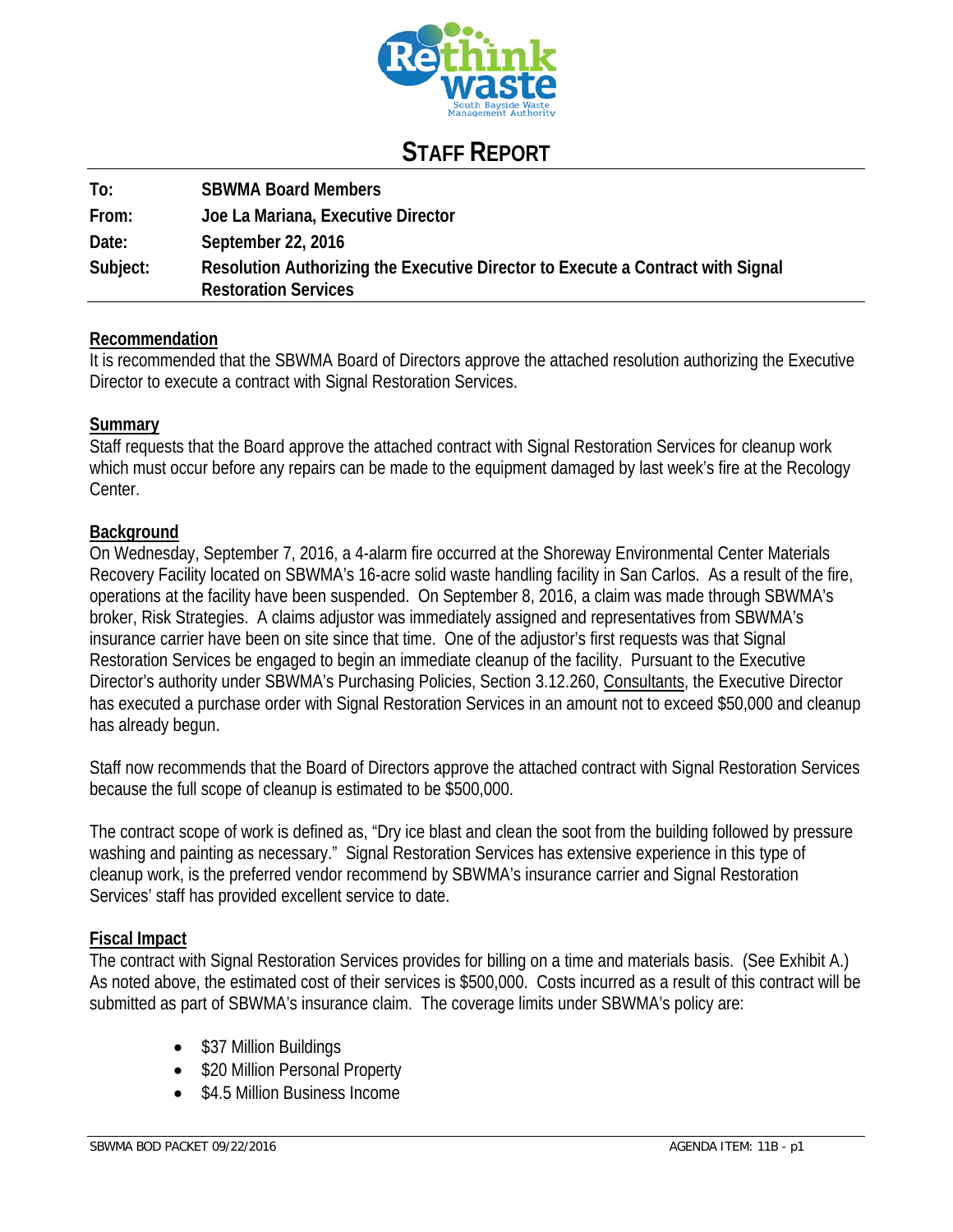

## **STAFF REPORT**

| To:      | <b>SBWMA Board Members</b>                                                                                     |
|----------|----------------------------------------------------------------------------------------------------------------|
| From:    | Joe La Mariana, Executive Director                                                                             |
| Date:    | September 22, 2016                                                                                             |
| Subject: | Resolution Authorizing the Executive Director to Execute a Contract with Signal<br><b>Restoration Services</b> |

#### **Recommendation**

It is recommended that the SBWMA Board of Directors approve the attached resolution authorizing the Executive Director to execute a contract with Signal Restoration Services.

#### **Summary**

Staff requests that the Board approve the attached contract with Signal Restoration Services for cleanup work which must occur before any repairs can be made to the equipment damaged by last week's fire at the Recology Center.

#### **Background**

On Wednesday, September 7, 2016, a 4-alarm fire occurred at the Shoreway Environmental Center Materials Recovery Facility located on SBWMA's 16-acre solid waste handling facility in San Carlos. As a result of the fire, operations at the facility have been suspended. On September 8, 2016, a claim was made through SBWMA's broker, Risk Strategies. A claims adjustor was immediately assigned and representatives from SBWMA's insurance carrier have been on site since that time. One of the adjustor's first requests was that Signal Restoration Services be engaged to begin an immediate cleanup of the facility. Pursuant to the Executive Director's authority under SBWMA's Purchasing Policies, Section 3.12.260, Consultants, the Executive Director has executed a purchase order with Signal Restoration Services in an amount not to exceed \$50,000 and cleanup has already begun.

Staff now recommends that the Board of Directors approve the attached contract with Signal Restoration Services because the full scope of cleanup is estimated to be \$500,000.

The contract scope of work is defined as, "Dry ice blast and clean the soot from the building followed by pressure washing and painting as necessary." Signal Restoration Services has extensive experience in this type of cleanup work, is the preferred vendor recommend by SBWMA's insurance carrier and Signal Restoration Services' staff has provided excellent service to date.

#### **Fiscal Impact**

The contract with Signal Restoration Services provides for billing on a time and materials basis. (See Exhibit A.) As noted above, the estimated cost of their services is \$500,000. Costs incurred as a result of this contract will be submitted as part of SBWMA's insurance claim. The coverage limits under SBWMA's policy are:

- \$37 Million Buildings
- \$20 Million Personal Property
- \$4.5 Million Business Income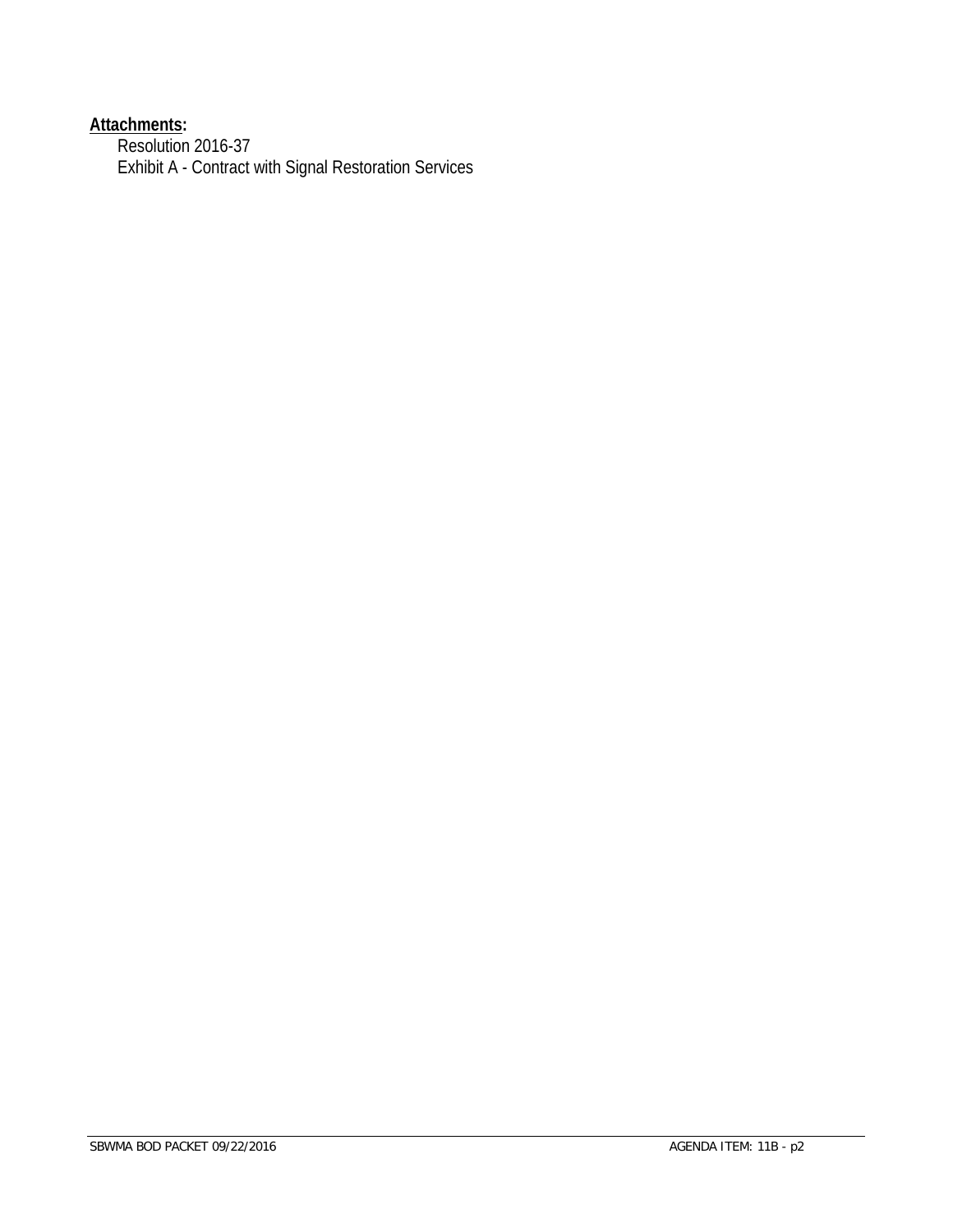#### **Attachments:**

Resolution 2016-37 Exhibit A - Contract with Signal Restoration Services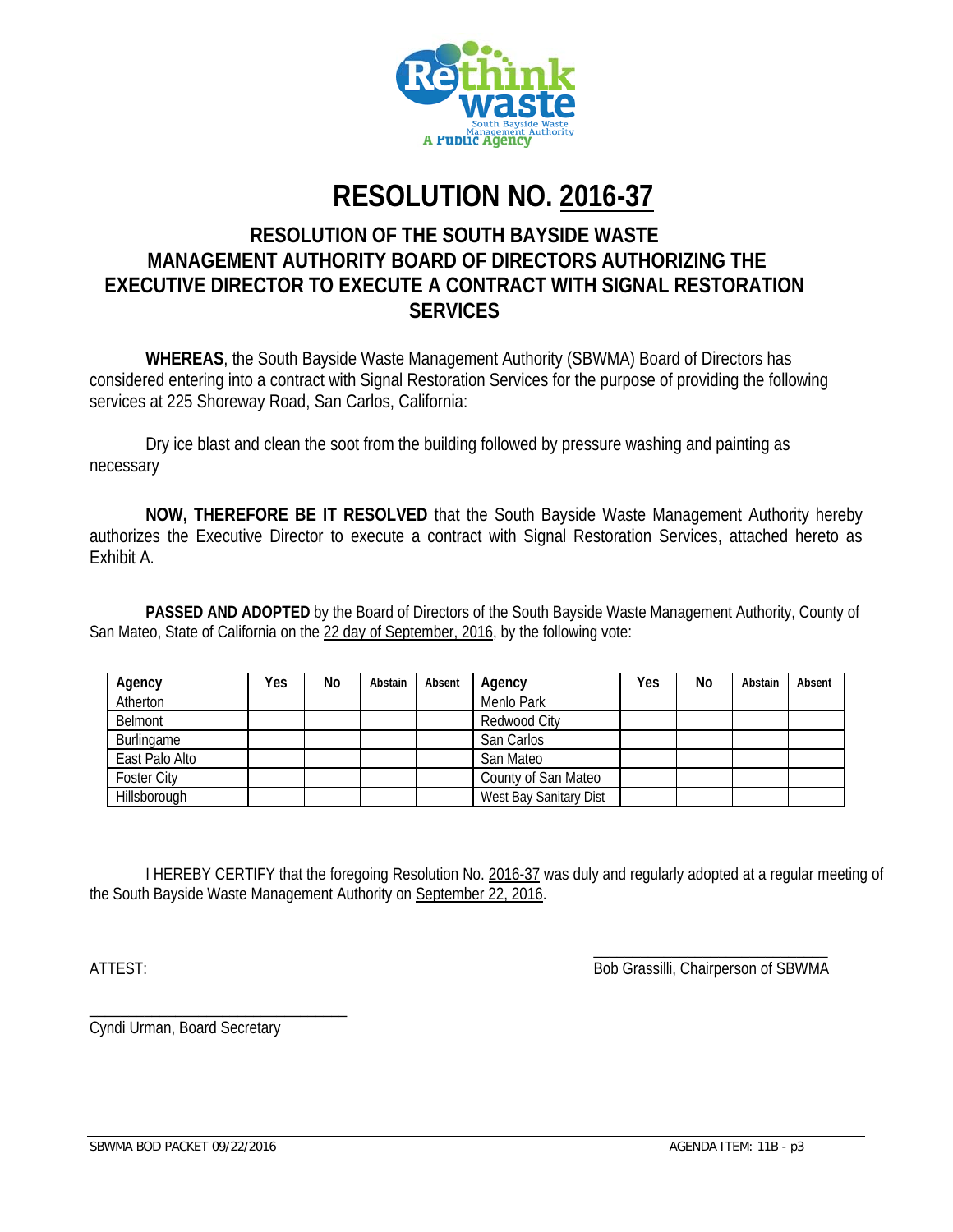

# **RESOLUTION NO. 2016-37**

#### **RESOLUTION OF THE SOUTH BAYSIDE WASTE MANAGEMENT AUTHORITY BOARD OF DIRECTORS AUTHORIZING THE EXECUTIVE DIRECTOR TO EXECUTE A CONTRACT WITH SIGNAL RESTORATION SERVICES**

**WHEREAS**, the South Bayside Waste Management Authority (SBWMA) Board of Directors has considered entering into a contract with Signal Restoration Services for the purpose of providing the following services at 225 Shoreway Road, San Carlos, California:

 Dry ice blast and clean the soot from the building followed by pressure washing and painting as necessary

**NOW, THEREFORE BE IT RESOLVED** that the South Bayside Waste Management Authority hereby authorizes the Executive Director to execute a contract with Signal Restoration Services, attached hereto as Exhibit A.

 **PASSED AND ADOPTED** by the Board of Directors of the South Bayside Waste Management Authority, County of San Mateo, State of California on the 22 day of September, 2016, by the following vote:

| Agency             | Yes | No | Abstain | Absent | Agency                 | Yes | No | Abstain | Absent |
|--------------------|-----|----|---------|--------|------------------------|-----|----|---------|--------|
| Atherton           |     |    |         |        | Menlo Park             |     |    |         |        |
| Belmont            |     |    |         |        | Redwood City           |     |    |         |        |
| Burlingame         |     |    |         |        | San Carlos             |     |    |         |        |
| East Palo Alto     |     |    |         |        | San Mateo              |     |    |         |        |
| <b>Foster City</b> |     |    |         |        | County of San Mateo    |     |    |         |        |
| Hillsborough       |     |    |         |        | West Bay Sanitary Dist |     |    |         |        |

 I HEREBY CERTIFY that the foregoing Resolution No. 2016-37 was duly and regularly adopted at a regular meeting of the South Bayside Waste Management Authority on September 22, 2016.

 $\overline{\phantom{a}}$  , and the contract of the contract of the contract of the contract of the contract of the contract of the contract of the contract of the contract of the contract of the contract of the contract of the contrac ATTEST: Bob Grassilli, Chairperson of SBWMA

Cyndi Urman, Board Secretary

\_\_\_\_\_\_\_\_\_\_\_\_\_\_\_\_\_\_\_\_\_\_\_\_\_\_\_\_\_\_\_\_\_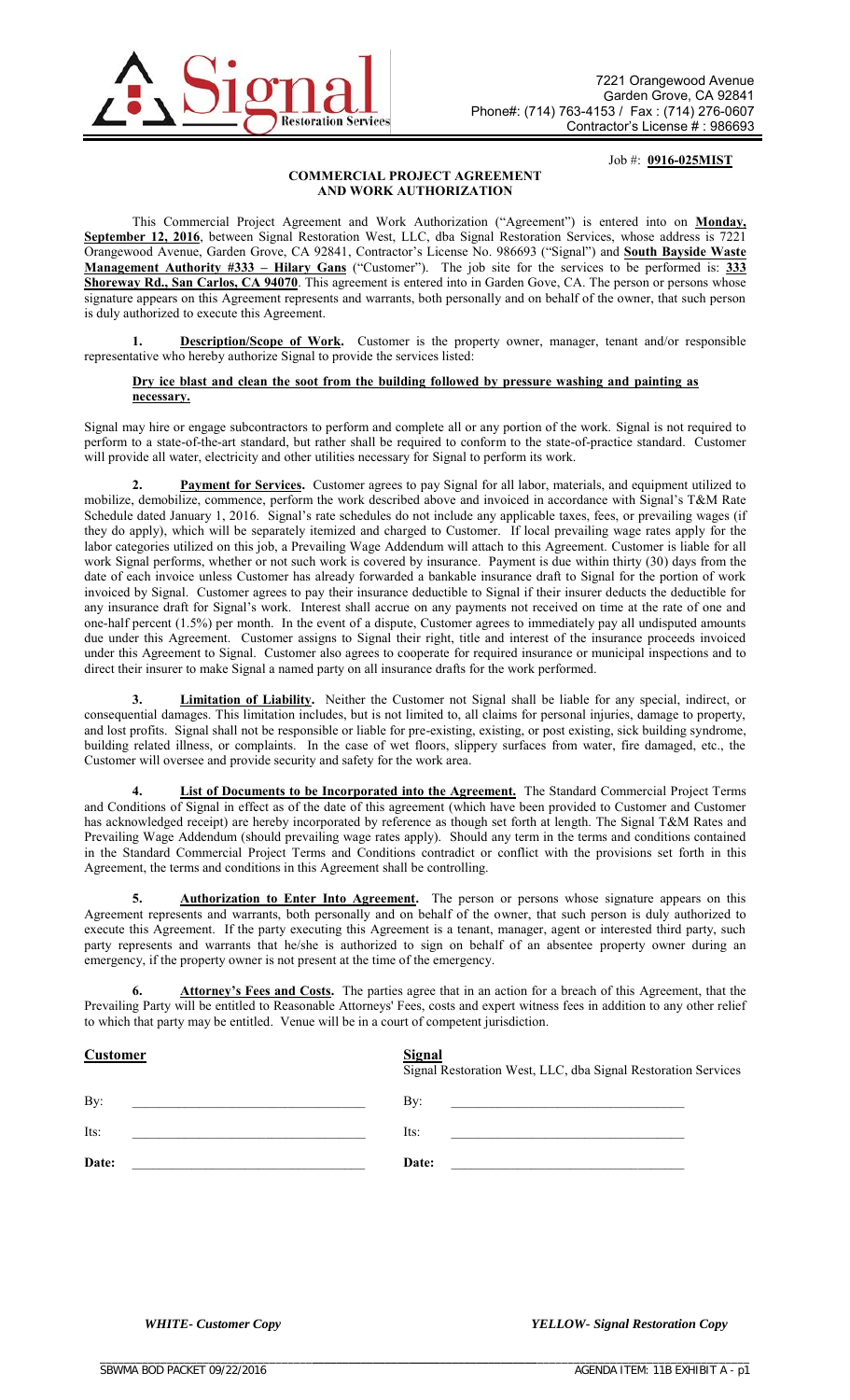

Job #: **0916-025MIST**

#### **COMMERCIAL PROJECT AGREEMENT AND WORK AUTHORIZATION**

This Commercial Project Agreement and Work Authorization ("Agreement") is entered into on **Monday, September 12, 2016**, between Signal Restoration West, LLC, dba Signal Restoration Services, whose address is 7221 Orangewood Avenue, Garden Grove, CA 92841, Contractor's License No. 986693 ("Signal") and **South Bayside Waste Management Authority #333 – Hilary Gans** ("Customer"). The job site for the services to be performed is: **333 Shoreway Rd., San Carlos, CA 94070**. This agreement is entered into in Garden Gove, CA. The person or persons whose signature appears on this Agreement represents and warrants, both personally and on behalf of the owner, that such person is duly authorized to execute this Agreement.

**1. Description/Scope of Work.** Customer is the property owner, manager, tenant and/or responsible representative who hereby authorize Signal to provide the services listed:

#### **Dry ice blast and clean the soot from the building followed by pressure washing and painting as necessary.**

Signal may hire or engage subcontractors to perform and complete all or any portion of the work. Signal is not required to perform to a state-of-the-art standard, but rather shall be required to conform to the state-of-practice standard. Customer will provide all water, electricity and other utilities necessary for Signal to perform its work.

**Payment for Services.** Customer agrees to pay Signal for all labor, materials, and equipment utilized to mobilize, demobilize, commence, perform the work described above and invoiced in accordance with Signal's T&M Rate Schedule dated January 1, 2016. Signal's rate schedules do not include any applicable taxes, fees, or prevailing wages (if they do apply), which will be separately itemized and charged to Customer. If local prevailing wage rates apply for the labor categories utilized on this job, a Prevailing Wage Addendum will attach to this Agreement. Customer is liable for all work Signal performs, whether or not such work is covered by insurance. Payment is due within thirty (30) days from the date of each invoice unless Customer has already forwarded a bankable insurance draft to Signal for the portion of work invoiced by Signal. Customer agrees to pay their insurance deductible to Signal if their insurer deducts the deductible for any insurance draft for Signal's work. Interest shall accrue on any payments not received on time at the rate of one and one-half percent (1.5%) per month. In the event of a dispute, Customer agrees to immediately pay all undisputed amounts due under this Agreement. Customer assigns to Signal their right, title and interest of the insurance proceeds invoiced under this Agreement to Signal. Customer also agrees to cooperate for required insurance or municipal inspections and to direct their insurer to make Signal a named party on all insurance drafts for the work performed.

**3. Limitation of Liability.** Neither the Customer not Signal shall be liable for any special, indirect, or consequential damages. This limitation includes, but is not limited to, all claims for personal injuries, damage to property, and lost profits. Signal shall not be responsible or liable for pre-existing, existing, or post existing, sick building syndrome, building related illness, or complaints. In the case of wet floors, slippery surfaces from water, fire damaged, etc., the Customer will oversee and provide security and safety for the work area.

**4. List of Documents to be Incorporated into the Agreement.** The Standard Commercial Project Terms and Conditions of Signal in effect as of the date of this agreement (which have been provided to Customer and Customer has acknowledged receipt) are hereby incorporated by reference as though set forth at length. The Signal T&M Rates and Prevailing Wage Addendum (should prevailing wage rates apply). Should any term in the terms and conditions contained in the Standard Commercial Project Terms and Conditions contradict or conflict with the provisions set forth in this Agreement, the terms and conditions in this Agreement shall be controlling.

5. Authorization to Enter Into Agreement. The person or persons whose signature appears on this Agreement represents and warrants, both personally and on behalf of the owner, that such person is duly authorized to execute this Agreement. If the party executing this Agreement is a tenant, manager, agent or interested third party, such party represents and warrants that he/she is authorized to sign on behalf of an absentee property owner during an emergency, if the property owner is not present at the time of the emergency.

Attorney's Fees and Costs. The parties agree that in an action for a breach of this Agreement, that the Prevailing Party will be entitled to Reasonable Attorneys' Fees, costs and expert witness fees in addition to any other relief to which that party may be entitled. Venue will be in a court of competent jurisdiction.

**Signal**

#### **Customer**

|                                                                                           | Signal Restoration West, LLC, dba Signal Restoration Services                                                         |
|-------------------------------------------------------------------------------------------|-----------------------------------------------------------------------------------------------------------------------|
| By:                                                                                       | By:                                                                                                                   |
| the control of the control of the control of the control of the control of the control of | <u> 1989 - Jan James Barnett, fransk politiker og den som andre og det blev til store og det blev til store og de</u> |
| Its:                                                                                      | Its:                                                                                                                  |
| <u> 1989 - John Stone, Amerikaansk politiker (</u>                                        | <u> 1980 - Jan Stein Harry Harry Harry Harry Harry Harry Harry Harry Harry Harry Harry Harry Harry Harry</u>          |
| Date:                                                                                     | Date:                                                                                                                 |
|                                                                                           | <u> 1980 - Jan Stein Stein Stein Stein Stein Stein Stein Stein Stein Stein Stein Stein Stein Stein Stein Stein S</u>  |

\_\_\_\_\_\_\_\_\_\_\_\_\_\_\_\_\_\_\_\_\_\_\_\_\_\_\_\_\_\_\_\_\_\_\_\_\_\_\_\_\_\_\_\_\_\_\_\_\_\_\_\_\_\_\_\_

*WHITE- Customer Copy YELLOW- Signal Restoration Copy*